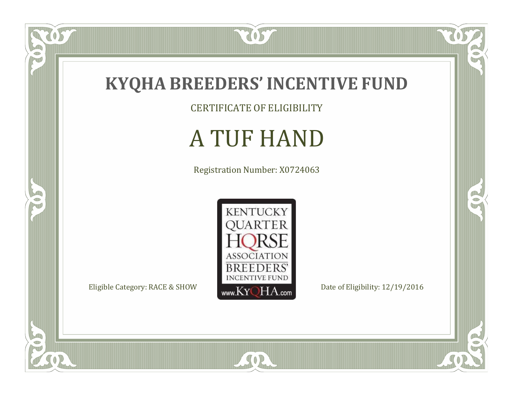

CERTIFICATE OF ELIGIBILITY

# A TUF HAND

Registration Number: X0724063



SOR

 $\mathbb{R}$ 

 $\mathbb{R}^2$ 

OS.

 $\bullet$ N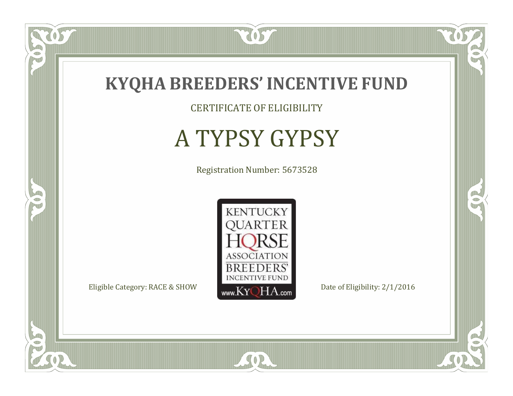

CERTIFICATE OF ELIGIBILITY

# A TYPSY GYPSY

Registration Number: 5673528



SOR

CO.

 $\rightarrow$ 

057

 $\bullet$ NU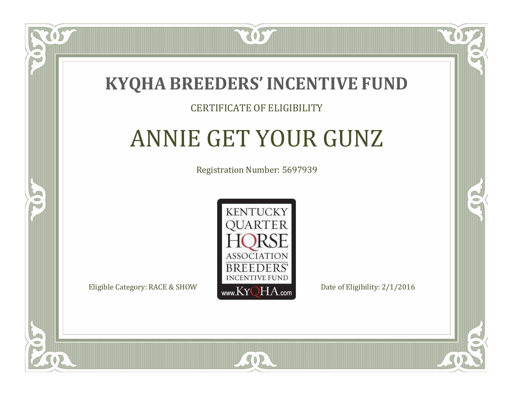

#### CERTIFICATE OF ELIGIBILITY

# ANNIE GET YOUR GUNZ

Registration Number: 5697939



 $SO2$ 

CO.

B

 $\blacksquare$ N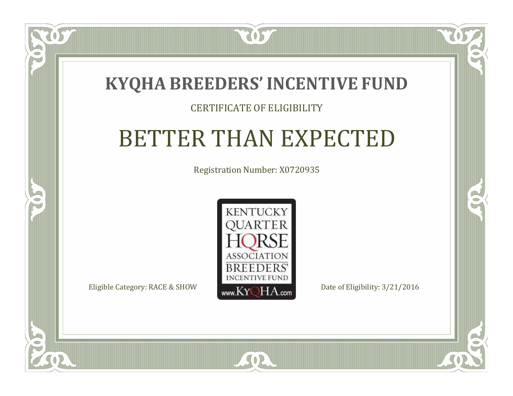### **KYQHA BREEDERS'INCENTIVE FUND**

7057

#### CERTIFICATE OF ELIGIBILITY

## BETTER THAN EXPECTED

Registration Number: X0720935



SOR

 $\blacksquare$ N

S

CO.

 $\rightarrow$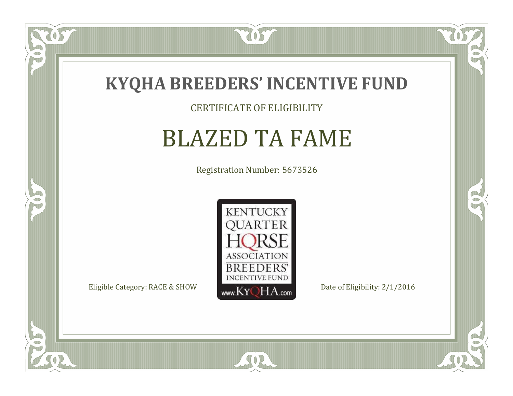

#### CERTIFICATE OF ELIGIBILITY

### BLAZED TA FAME

Registration Number: 5673526



SOR

CO.

 $\rightarrow$ 

US

 $\bullet$ NU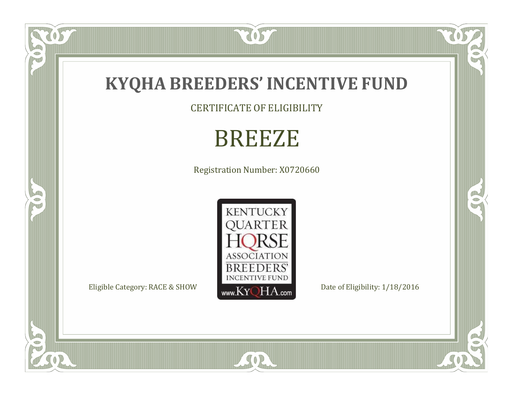

CERTIFICATE OF ELIGIBILITY

# BREEZE

Registration Number: X0720660



SOR

OST

FO

5

O

 $\mathbb{R}$ 

 $\mathbb{R}^2$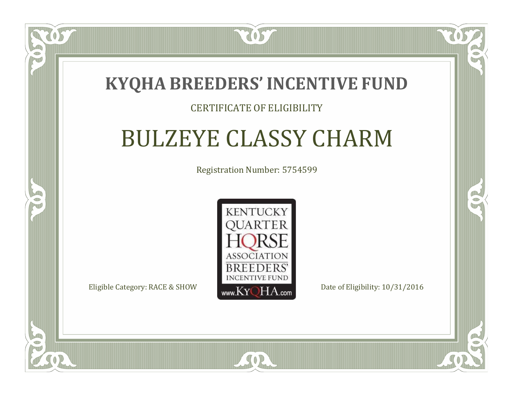### **KYQHA BREEDERS'INCENTIVE FUND**

7057

#### CERTIFICATE OF ELIGIBILITY

## BULZEYE CLASSY CHARM

Registration Number: 5754599



 $SO2$ 

CO.

 $\rightarrow$ 

 $\blacksquare$ N

S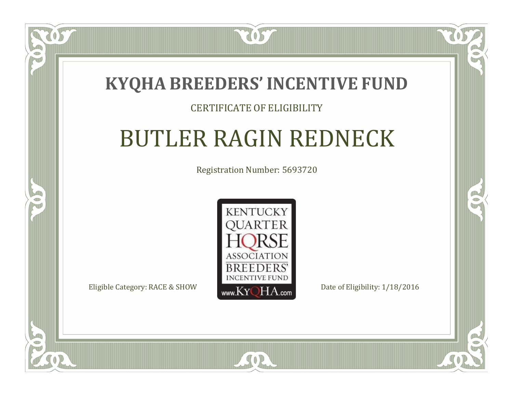

#### CERTIFICATE OF ELIGIBILITY

## BUTLER RAGIN REDNECK

Registration Number: 5693720



SOR

CO.

 $\rightarrow$ 

 $\Box$ N

S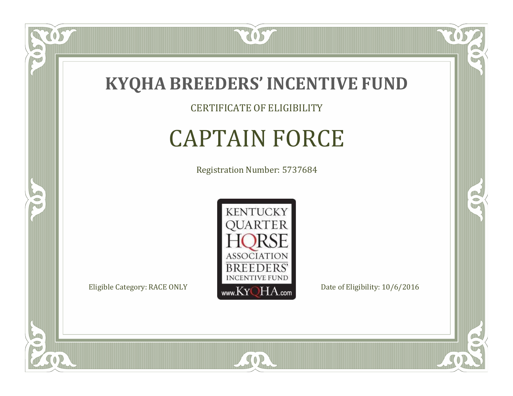

CERTIFICATE OF ELIGIBILITY

## CAPTAIN FORCE

Registration Number: 5737684



SOR

CO.

 $\rightarrow$ 

 $\delta S$ 

 $\bullet$ NU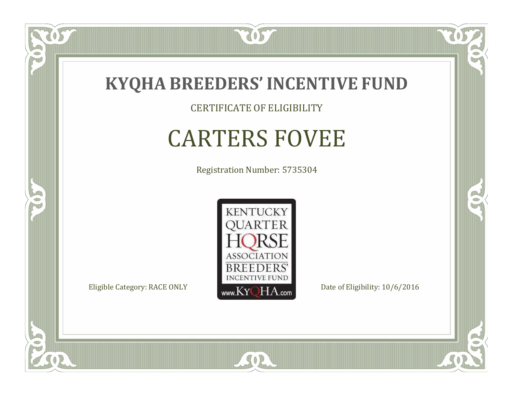

CERTIFICATE OF ELIGIBILITY

## CARTERS FOVEE

Registration Number: 5735304



SOR

RO

B

057

 $\Box$ NU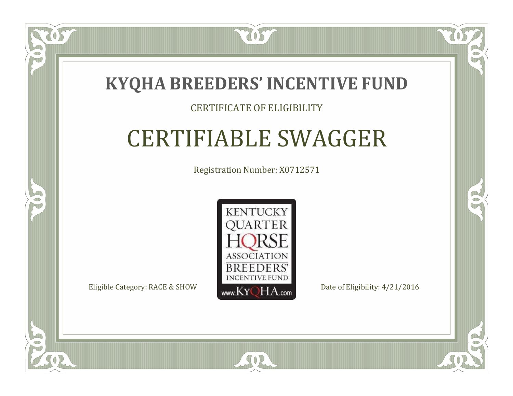

#### CERTIFICATE OF ELIGIBILITY

## CERTIFIABLE SWAGGER

Registration Number: X0712571



SOR

RO

P.

 $\Box$ T

S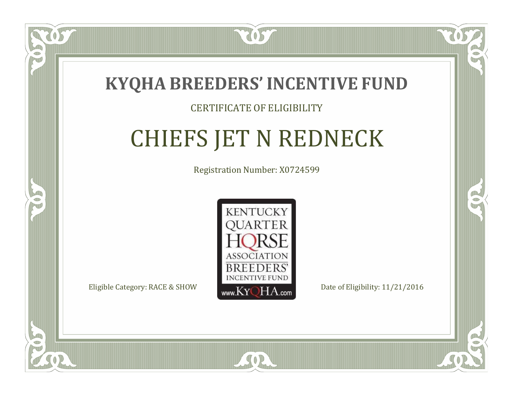

 $\Box$ N

S

#### CERTIFICATE OF ELIGIBILITY

# CHIEFS JET N REDNECK

Registration Number: X0724599



 $SO<sub>2</sub>$ 

RO

P.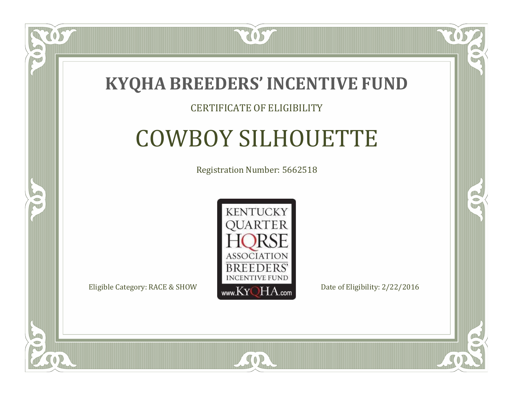

#### CERTIFICATE OF ELIGIBILITY

## COWBOY SILHOUETTE

Registration Number: 5662518



SOR

RO

B

 $\Box$ N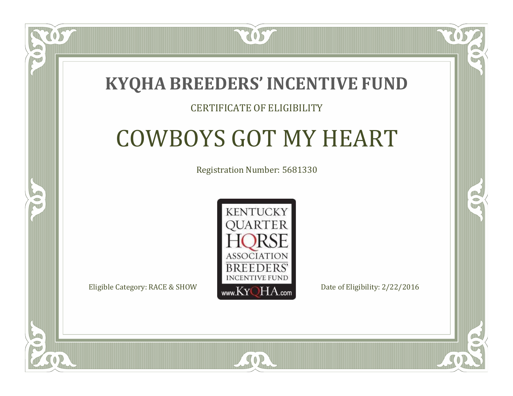### **KYQHA BREEDERS'INCENTIVE FUND**

7057

#### CERTIFICATE OF ELIGIBILITY

# COWBOYS GOT MY HEART

Registration Number: 5681330



 $SO2$ 

CO.

CO.

 $\Box$ T

S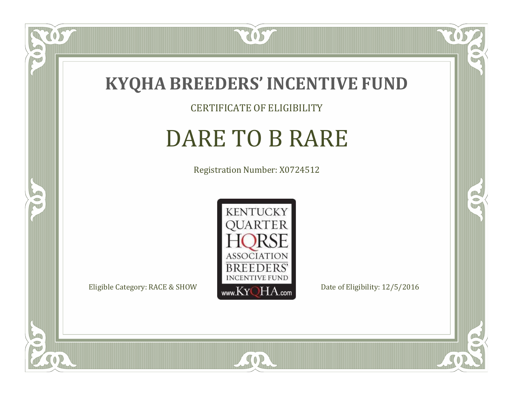

CERTIFICATE OF ELIGIBILITY

## DARE TO B RARE

Registration Number: X0724512



CO.

 $\rightarrow$ 

US

 $\Box$ NU

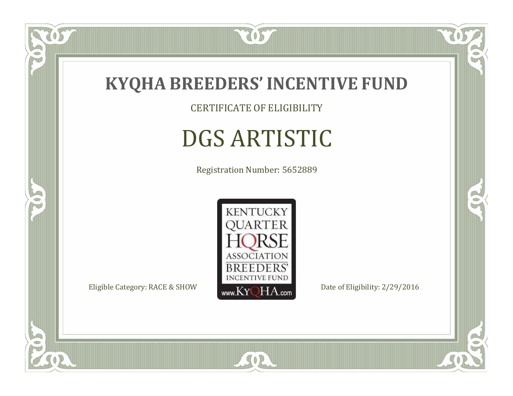

CERTIFICATE OF ELIGIBILITY

# DGS ARTISTIC

Registration Number: 5652889



SOR

CO.

 $\rightarrow$ 

 $\delta S$ 

 $\bullet$ NU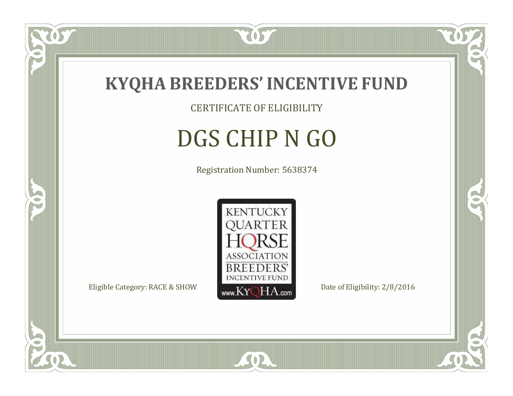

US

 $\bullet$ NU

5

CERTIFICATE OF ELIGIBILITY

# DGS CHIP N GO

Registration Number: 5638374



SOR

CO.

B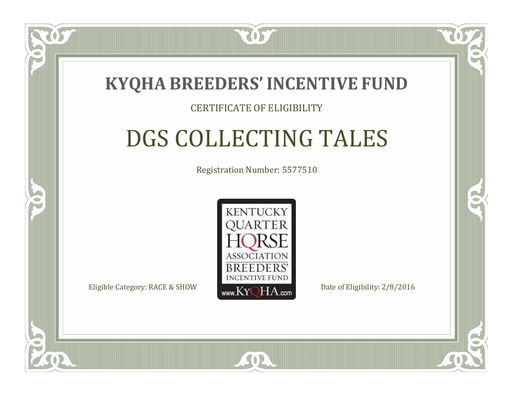

#### CERTIFICATE OF ELIGIBILITY

# DGS COLLECTING TALES

Registration Number: 5577510



 $SO<sub>2</sub>$ 

RO

P.

 $\Box$ N

S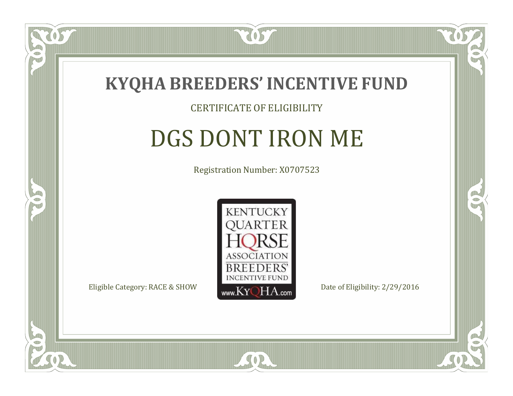

#### CERTIFICATE OF ELIGIBILITY

## DGS DONT IRON ME

Registration Number: X0707523



 $SO2$ 

CO.

B

 $\Box$ N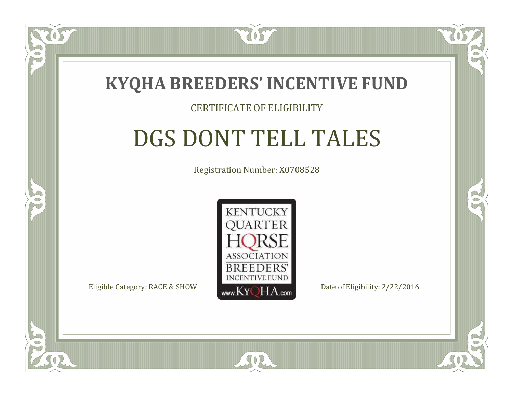

 $\Box$ N

5

#### CERTIFICATE OF ELIGIBILITY

## DGS DONT TELL TALES

Registration Number: X0708528



SOR

RO

CO.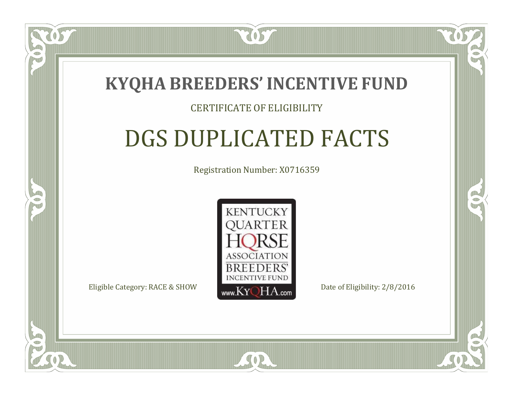

#### CERTIFICATE OF ELIGIBILITY

### DGS DUPLICATED FACTS

Registration Number: X0716359



SOR

RO

P.

 $\Box$ N

S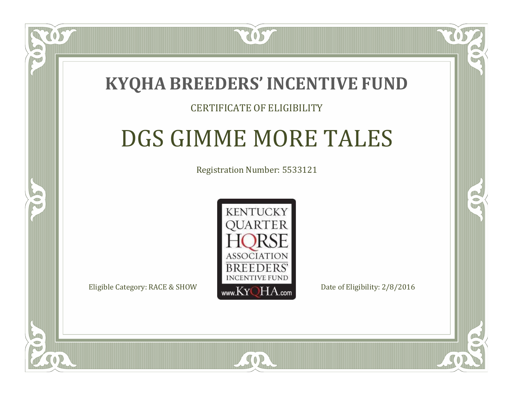### **KYQHA BREEDERS'INCENTIVE FUND**

7057

 $\Box$ N

S

#### CERTIFICATE OF ELIGIBILITY

### DGS GIMME MORE TALES

Registration Number: 5533121



SOR

RO

P.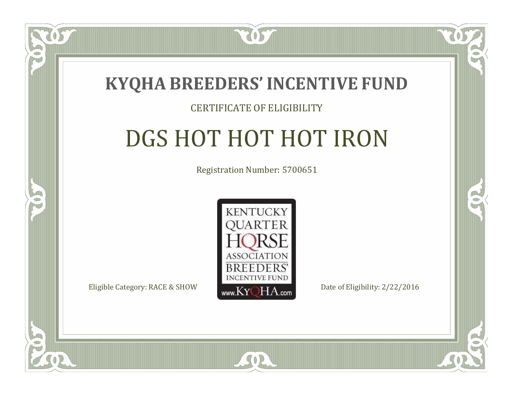

#### CERTIFICATE OF ELIGIBILITY

# DGS HOT HOT HOT IRON

Registration Number: 5700651



RO

P.

 $\Box$ T

S

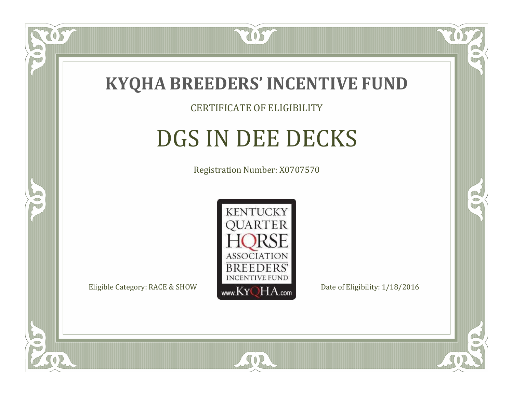

#### CERTIFICATE OF ELIGIBILITY

### DGS IN DEE DECKS

Registration Number: X0707570



SOR

RO

B

 $\Box$ N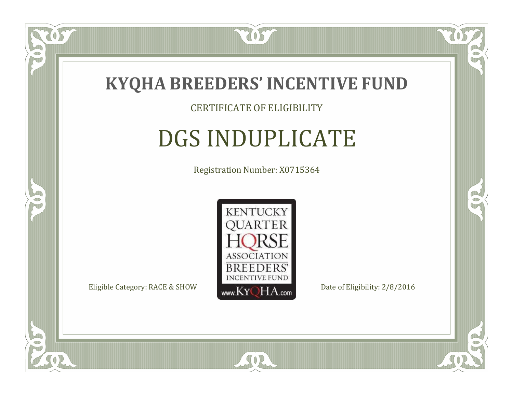

 $\Box$ NU

5

#### CERTIFICATE OF ELIGIBILITY

# DGS INDUPLICATE

Registration Number: X0715364



SOR

RO

B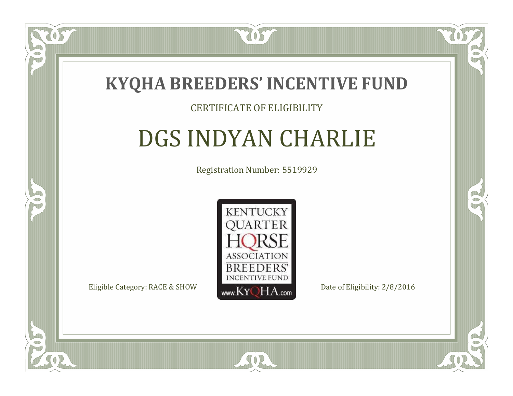

#### CERTIFICATE OF ELIGIBILITY

## DGS INDYAN CHARLIE

Registration Number: 5519929



SOR

CO.

B

 $\blacksquare$ N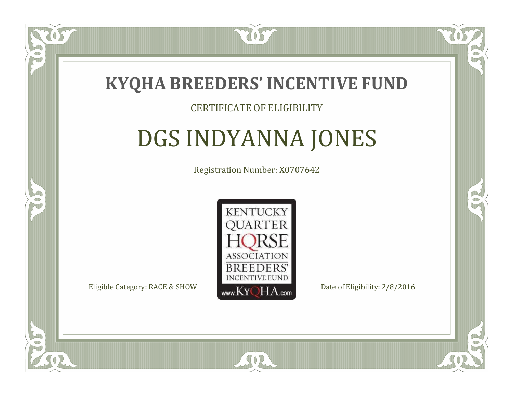

#### CERTIFICATE OF ELIGIBILITY

### DGS INDYANNA JONES

Registration Number: X0707642



SOR

CO.

A.

 $\Box$ N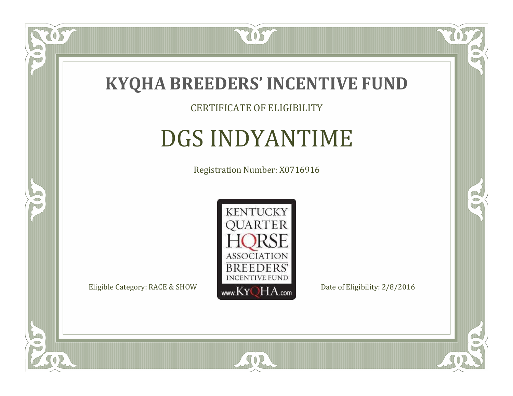

#### CERTIFICATE OF ELIGIBILITY

## DGS INDYANTIME

Registration Number: X0716916



SOR

CO.

 $\rightarrow$ 

057

 $\Box$ NU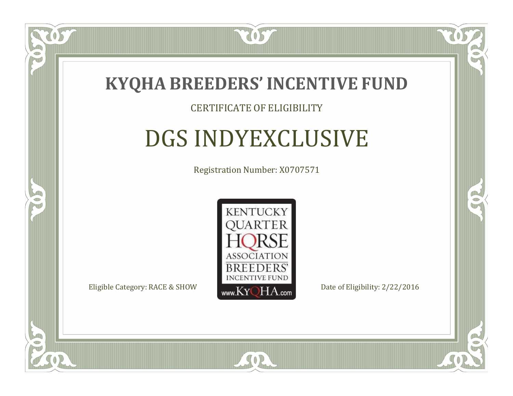

#### CERTIFICATE OF ELIGIBILITY

### DGS INDYEXCLUSIVE

Registration Number: X0707571



CO.

B



 $\blacksquare$ N

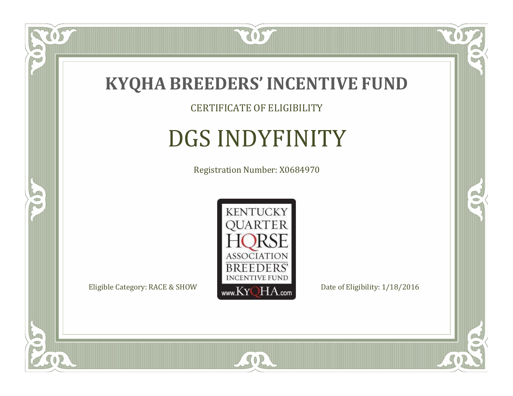

CERTIFICATE OF ELIGIBILITY

# DGS INDYFINITY

Registration Number: X0684970



SOR

CO.

 $\rightarrow$ 

US

 $\bullet$ NU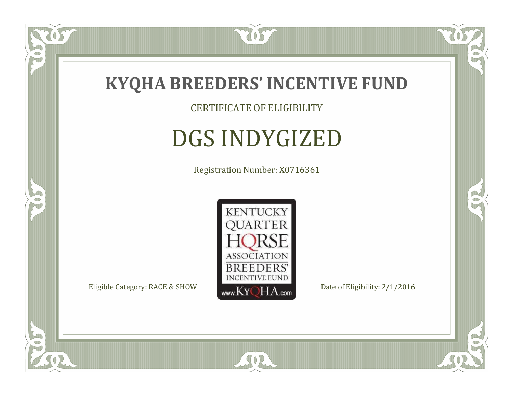

CERTIFICATE OF ELIGIBILITY

# DGS INDYGIZED

Registration Number: X0716361



SOR

CO.

 $\rightarrow$ 

 $\delta S$ 

 $\Box$ NU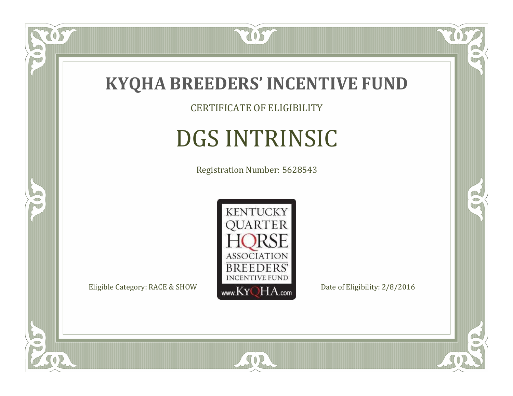

CERTIFICATE OF ELIGIBILITY

# DGS INTRINSIC

Registration Number: 5628543



SOR

CO.

 $\rightarrow$ 

 $\delta S$ 

 $\bullet$ NU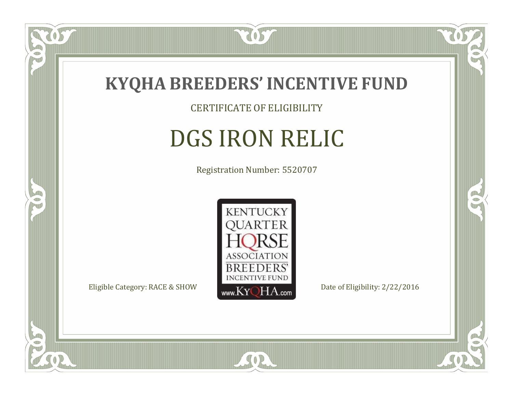

CERTIFICATE OF ELIGIBILITY

# DGS IRON RELIC

Registration Number: 5520707



SOR

CO.

OR.

 $\delta S$ 

 $\Box$ NU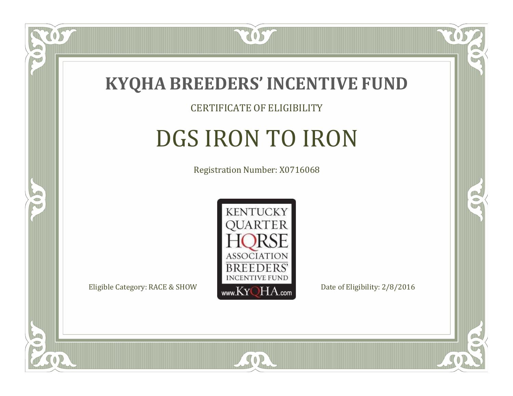

#### CERTIFICATE OF ELIGIBILITY

# DGS IRON TO IRON

Registration Number: X0716068



SOR

RO

P.

 $\Box$ N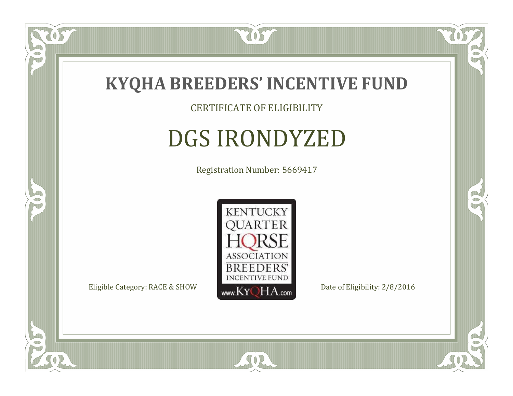

 $\overline{OS}$ 

 $\Box$ NU

5

#### CERTIFICATE OF ELIGIBILITY

# DGS IRONDYZED

Registration Number: 5669417



SOR

CO.

 $\rightarrow$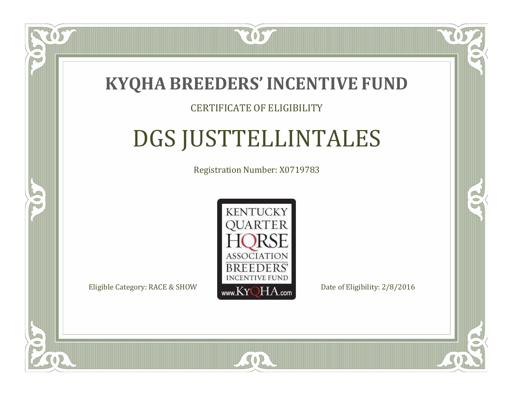

#### CERTIFICATE OF ELIGIBILITY

# DGS JUSTTELLINTALES

Registration Number: X0719783



SOR

 $\mathbb{R}$ 

CO.

 $\Box$ N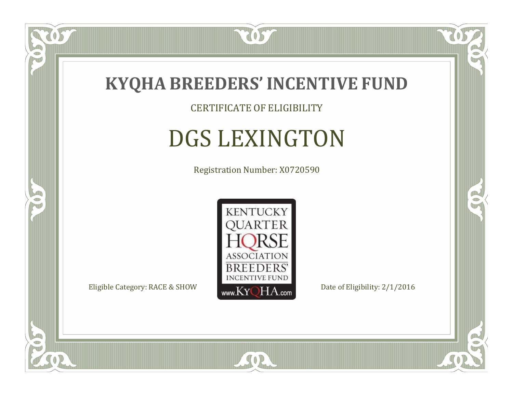

 $\delta S$ 

 $\Box$ NU

5

CERTIFICATE OF ELIGIBILITY

# DGS LEXINGTON

Registration Number: X0720590



SOR

CO.

 $\rightarrow$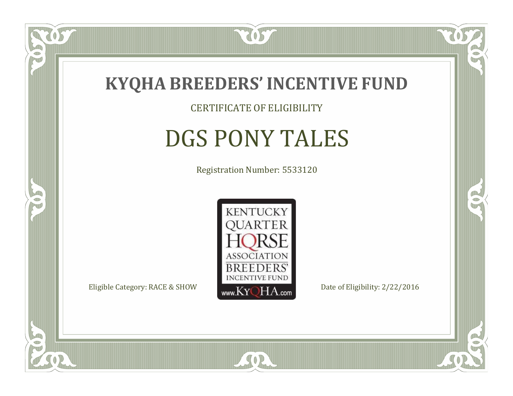

### CERTIFICATE OF ELIGIBILITY

# DGS PONY TALES

Registration Number: 5533120



SOR

CO.

 $\rightarrow$ 

 $\delta S$ 

 $\Box$ NU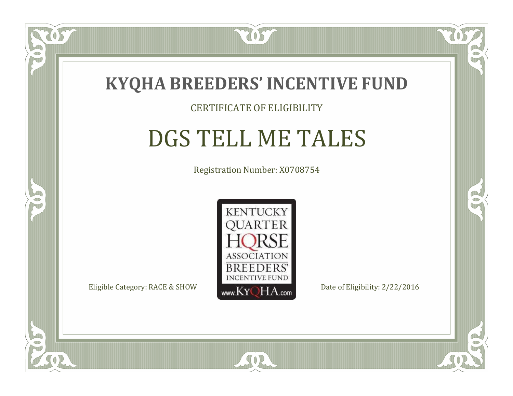

#### CERTIFICATE OF ELIGIBILITY

### DGS TELL ME TALES

Registration Number: X0708754



SOR

RO

B

 $\Box$ N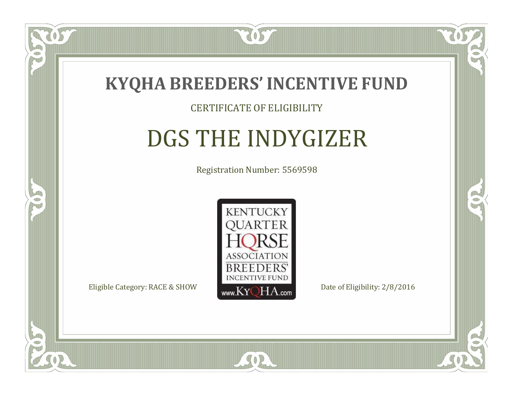

#### CERTIFICATE OF ELIGIBILITY

### DGS THE INDYGIZER

Registration Number: 5569598



 $SO2$ 

CO.

B

 $\Box$ N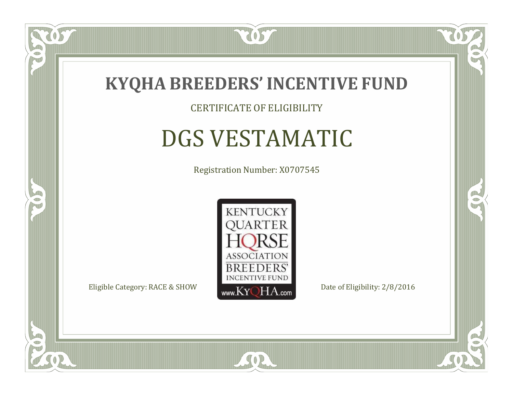

CERTIFICATE OF ELIGIBILITY

# DGS VESTAMATIC

Registration Number: X0707545



SOR

CO.

 $\rightarrow$ 

 $\Box$ NU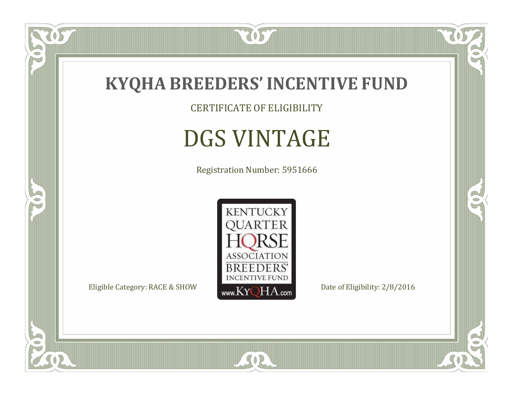

CERTIFICATE OF ELIGIBILITY

# DGS VINTAGE

Registration Number: 5951666



SOR

 $\mathbb{R}$ 

 $\rightarrow$ 

057

 $\bullet$ N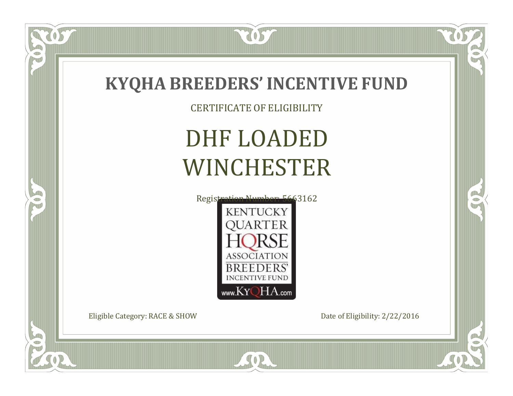

### **KYQHA BREEDERS'INCENTIVE FUND**

CERTIFICATE OF ELIGIBILITY

# DHF LOADED WINCHESTER



SOR

Eligible Category: RACE & SHOW Date of Eligibility: 2/22/2016

 $\overline{OS}$ 

 $\bullet$ NU

5

Œ

 $\mathbb{R}$ 

B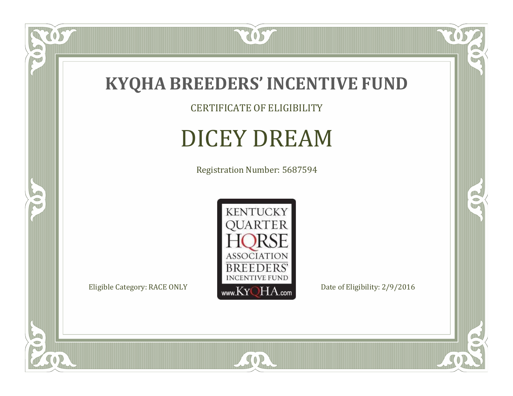

CERTIFICATE OF ELIGIBILITY

# DICEY DREAM

Registration Number: 5687594



SOR

 $\mathbb{R}$ 

 $\mathbb{R}^2$ 

 $\overline{OS}$ 

 $\bullet$ N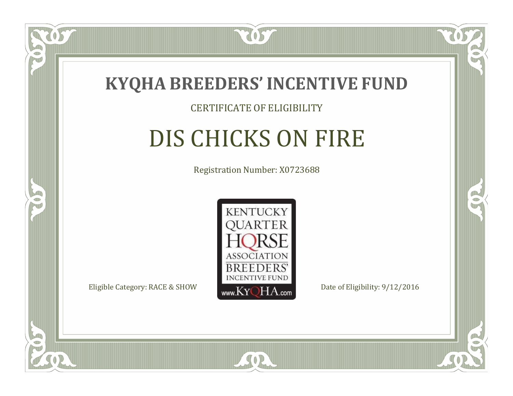

#### CERTIFICATE OF ELIGIBILITY

# DIS CHICKS ON FIRE

Registration Number: X0723688



SOR

RO

B

 $\Box$ N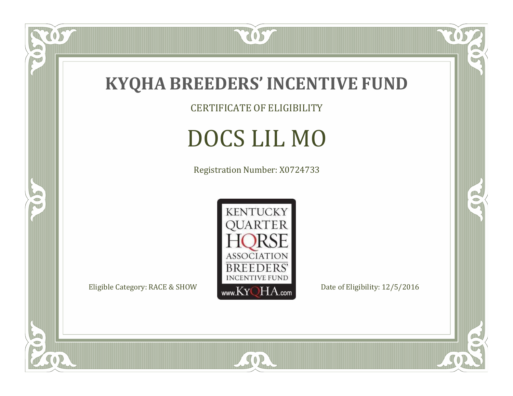

CERTIFICATE OF ELIGIBILITY

# DOCS LIL MO

Registration Number: X0724733



SOR

 $\mathbb{R}$ 

CO.

057

 $\bullet$ N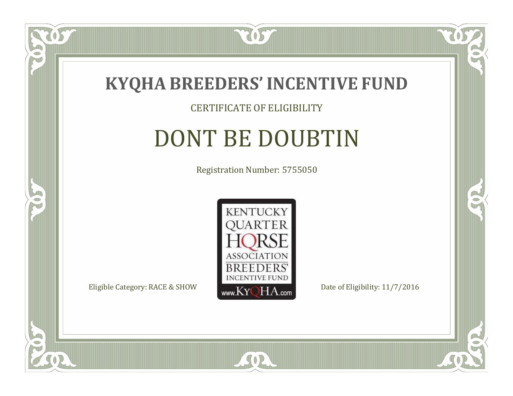

#### CERTIFICATE OF ELIGIBILITY

### DONT BE DOUBTIN

Registration Number: 5755050



SOR

CO.

 $\rightarrow$ 

057

 $\Box$ NU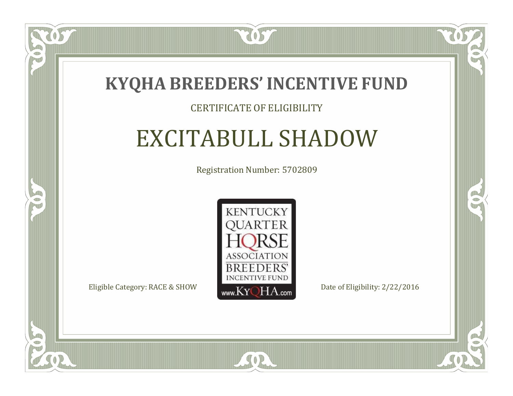

### CERTIFICATE OF ELIGIBILITY

### EXCITABULL SHADOW

Registration Number: 5702809



SOR

CO.

 $\rightarrow$ 

 $\Box$ N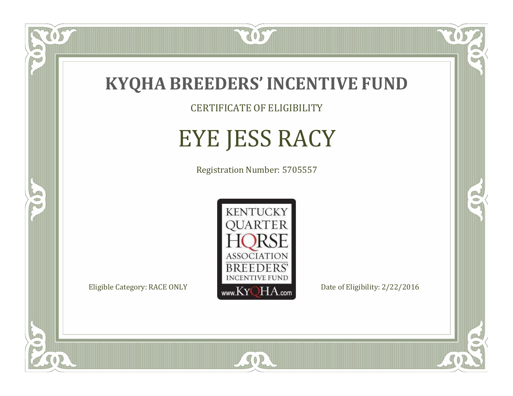

CERTIFICATE OF ELIGIBILITY

# EYE JESS RACY

Registration Number: 5705557



SOR

CO.

 $\rightarrow$ 

 $\overline{OS}$ 

 $\bullet$ NU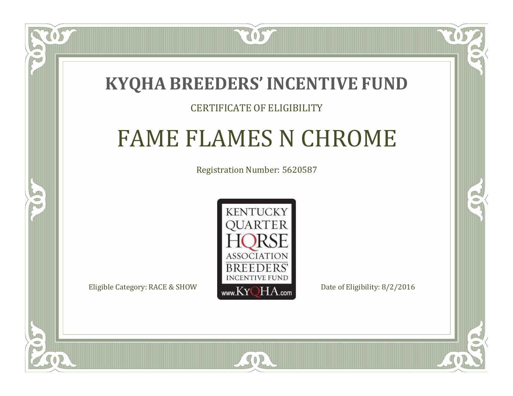### **KYQHA BREEDERS'INCENTIVE FUND**

7057

### CERTIFICATE OF ELIGIBILITY

## FAME FLAMES N CHROME

Registration Number: 5620587



SOR

CO.

 $\rightarrow$ 

 $\Box$ T

S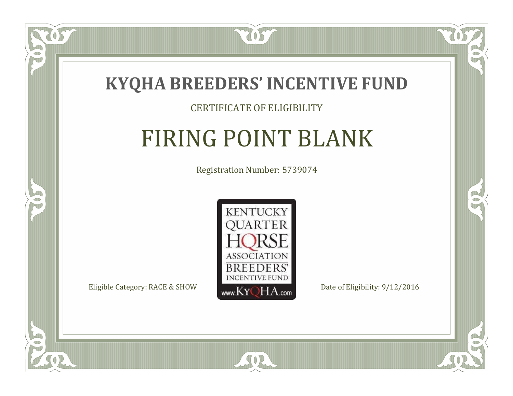

### CERTIFICATE OF ELIGIBILITY

# FIRING POINT BLANK

Registration Number: 5739074



SOR

CO.

 $\rightarrow$ 

 $\blacksquare$ N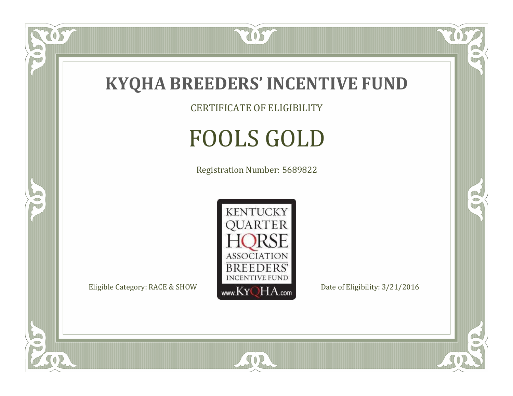

CERTIFICATE OF ELIGIBILITY

# FOOLS GOLD

Registration Number: 5689822



SOR

 $\mathbb{R}$ 

CO.

tos

 $\bullet$ N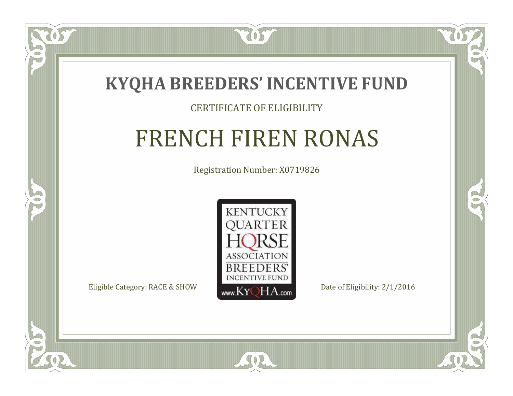

US

 $\blacksquare$ N

5

#### CERTIFICATE OF ELIGIBILITY

### FRENCH FIREN RONAS

Registration Number: X0719826



SOR

CO.

 $\rightarrow$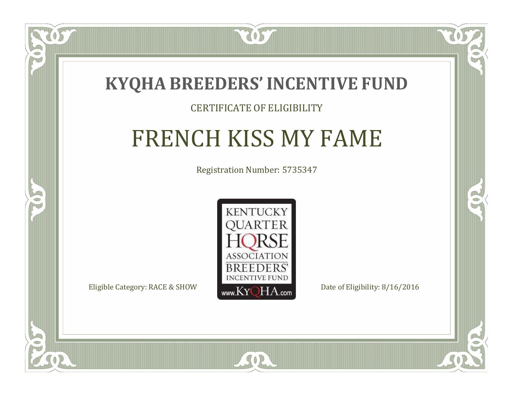

### CERTIFICATE OF ELIGIBILITY

# FRENCH KISS MY FAME

Registration Number: 5735347



SOR

CO.

 $\rightarrow$ 

 $\blacksquare$ N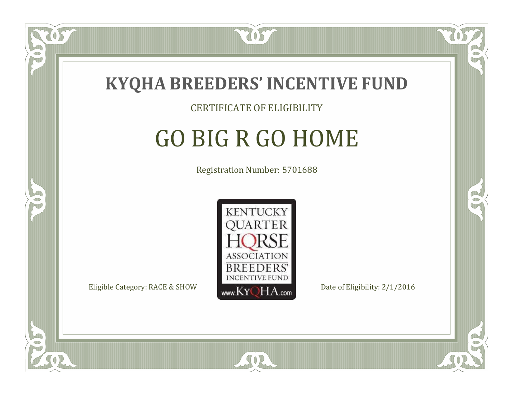

#### CERTIFICATE OF ELIGIBILITY

# GO BIG R GO HOME

Registration Number: 5701688



 $SO<sub>2</sub>$ 

 $\Box$ N

5

RO

B.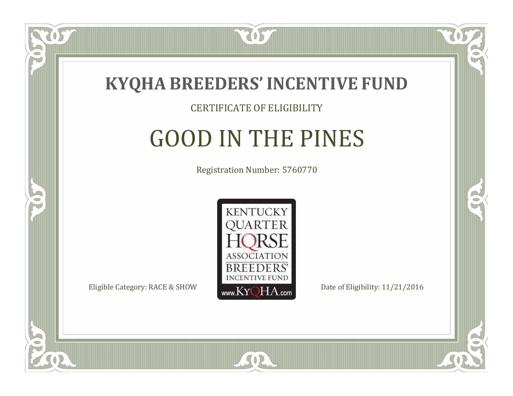

#### CERTIFICATE OF ELIGIBILITY

## GOOD IN THE PINES

Registration Number: 5760770



 $SO2$ 

 $\Box$ N

5

CO.

B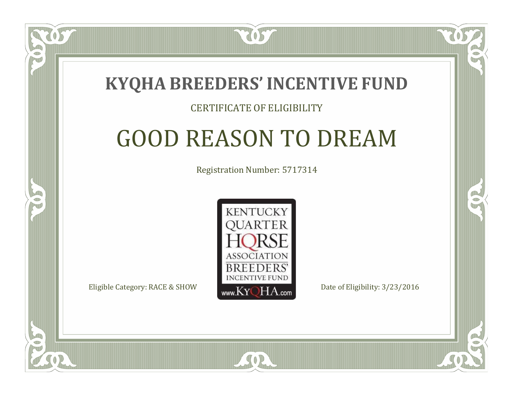

 $\Box$ T

S

#### CERTIFICATE OF ELIGIBILITY

# GOOD REASON TO DREAM

Registration Number: 5717314



 $SO2$ 

RO

CO.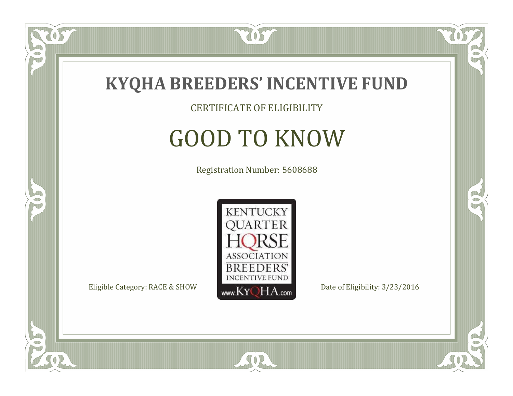

CERTIFICATE OF ELIGIBILITY

# GOOD TO KNOW

Registration Number: 5608688



SOR

CO.

OR.

US

 $\bullet$ NU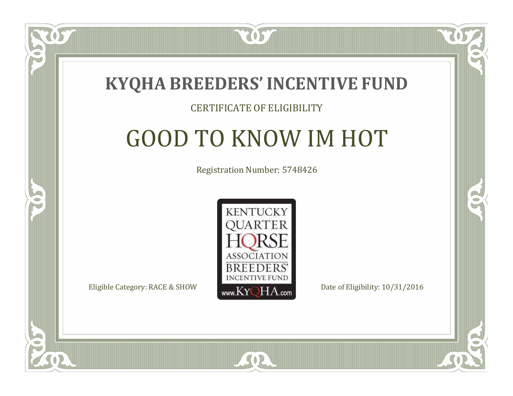

#### CERTIFICATE OF ELIGIBILITY

### GOOD TO KNOW IM HOT

Registration Number: 5748426



SOR

CO.

P.

 $\Box$ N

S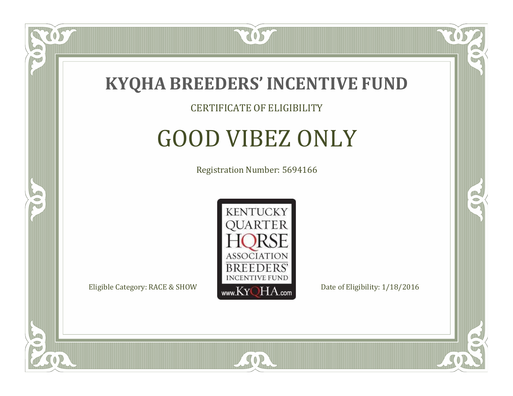

#### CERTIFICATE OF ELIGIBILITY

# GOOD VIBEZ ONLY

Registration Number: 5694166



SOR

CO.

OR.

057

 $\Box$ NU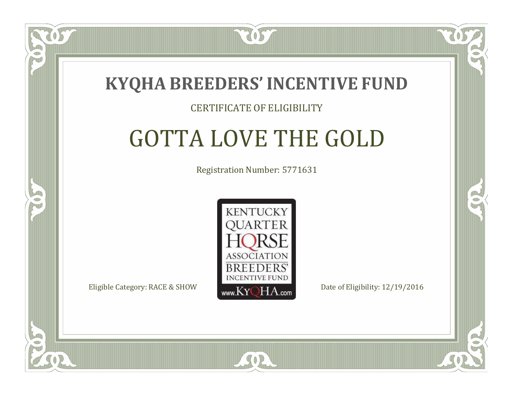

 $\Box$ T

S

### CERTIFICATE OF ELIGIBILITY

# GOTTA LOVE THE GOLD

Registration Number: 5771631



SOR

RO

P.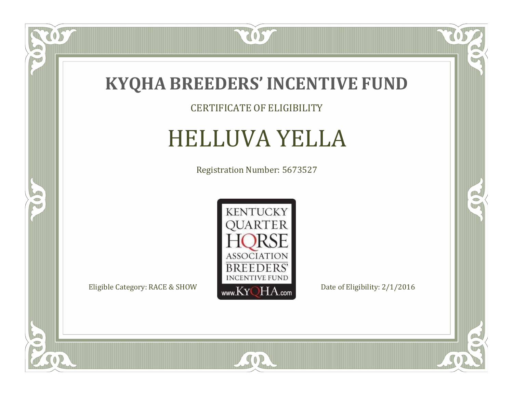

CERTIFICATE OF ELIGIBILITY

## HELLUVA YELLA

Registration Number: 5673527



SOR

 $\mathbb{R}$ 

R

 $\overline{OS}$ 

 $\bullet$ NU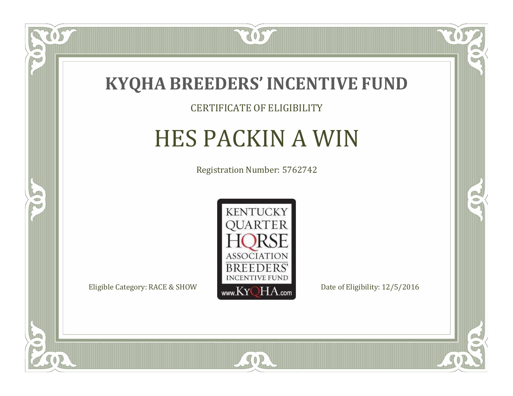

#### CERTIFICATE OF ELIGIBILITY

# HES PACKIN A WIN

Registration Number: 5762742



SOR

CO.

 $\rightarrow$ 

US

 $\Box$ NU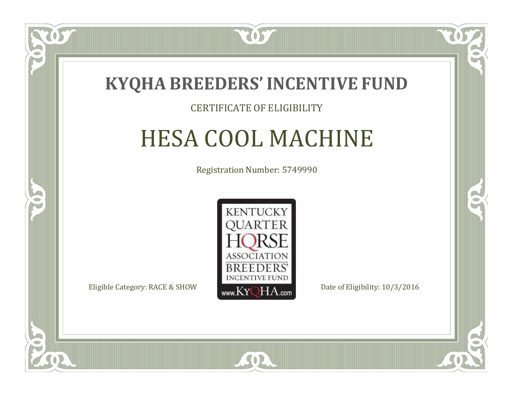

### CERTIFICATE OF ELIGIBILITY

# HESA COOL MACHINE

Registration Number: 5749990



SOR

CO.

B

 $\blacksquare$ N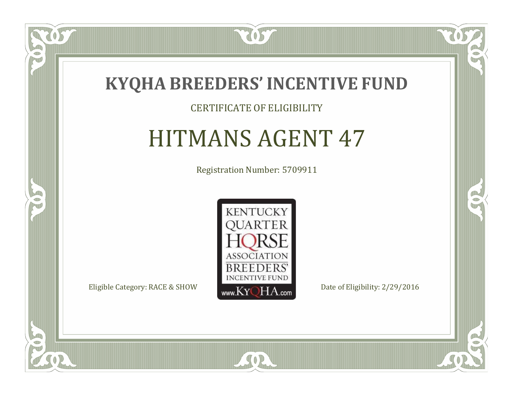

ULLE

 $\Box$ N

5

#### CERTIFICATE OF ELIGIBILITY

### HITMANS AGENT 47

Registration Number: 5709911



SOR

CO.

 $\rightarrow$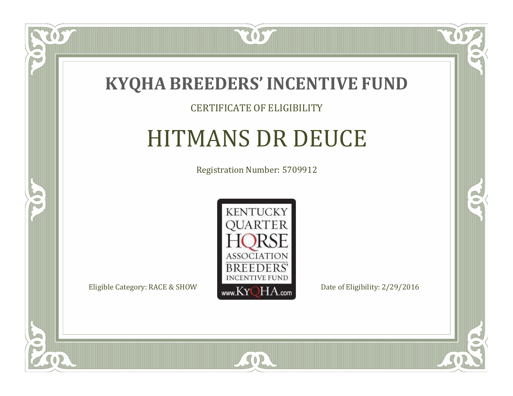

#### CERTIFICATE OF ELIGIBILITY

### HITMANS DR DEUCE

Registration Number: 5709912



SOR

CO.

 $\rightarrow$ 

ULLE

 $\Box$ NU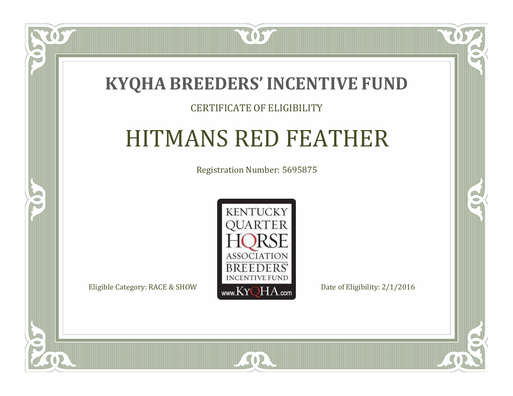

### CERTIFICATE OF ELIGIBILITY

### HITMANS RED FEATHER

Registration Number: 5695875



SOR

CO.

 $\rightarrow$ 

 $\blacksquare$ N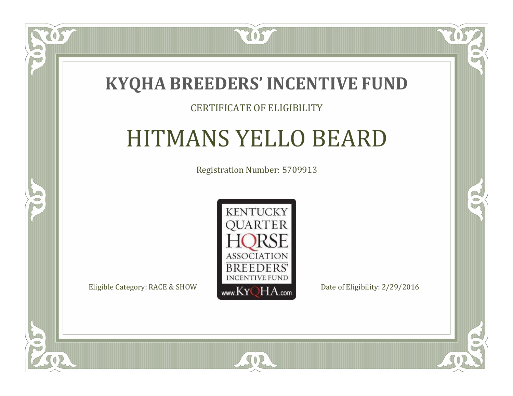

### CERTIFICATE OF ELIGIBILITY

### HITMANS YELLO BEARD

Registration Number: 5709913



SOR

 $\Box$ N

S

 $\mathbb{R}$ 

 $\rightarrow$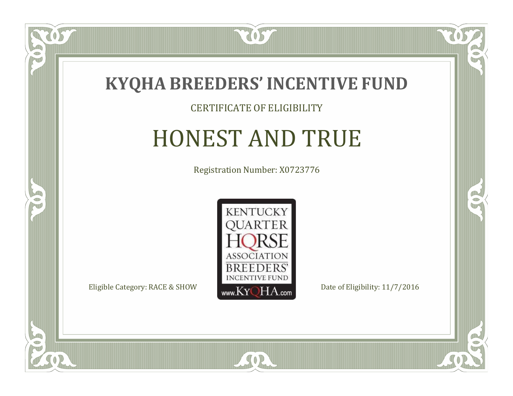

#### CERTIFICATE OF ELIGIBILITY

### HONEST AND TRUE

Registration Number: X0723776



SOR

CO.

B

 $\Box$ N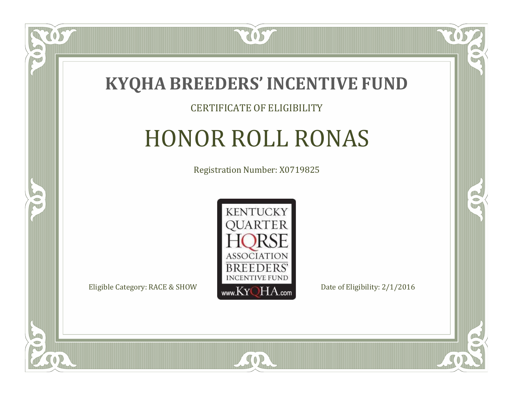

#### CERTIFICATE OF ELIGIBILITY

# HONOR ROLL RONAS

Registration Number: X0719825



SOR

RO

B

 $\Box$ N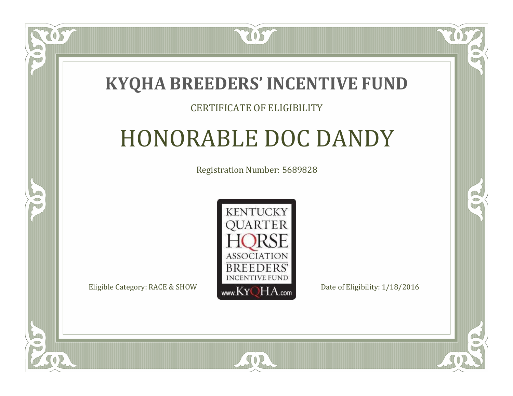

### CERTIFICATE OF ELIGIBILITY

## HONORABLE DOC DANDY

Registration Number: 5689828



SOR

RO

P.

 $\Box$ T

S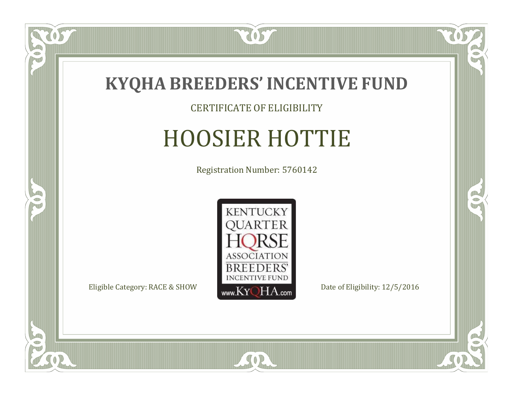

#### CERTIFICATE OF ELIGIBILITY

# HOOSIER HOTTIE

Registration Number: 5760142



SOR

CO.

 $\rightarrow$ 

057

 $\Box$ NU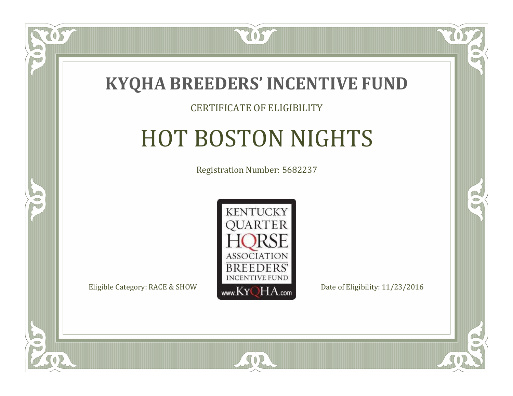

### CERTIFICATE OF ELIGIBILITY

# HOT BOSTON NIGHTS

Registration Number: 5682237



CO.

B

 $\Box$ N

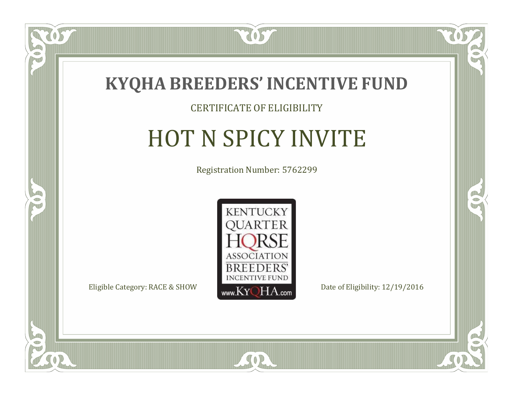

#### CERTIFICATE OF ELIGIBILITY

## HOT N SPICY INVITE

Registration Number: 5762299



 $SO2$ 

CO.

 $\rightarrow$ 

 $\Box$ N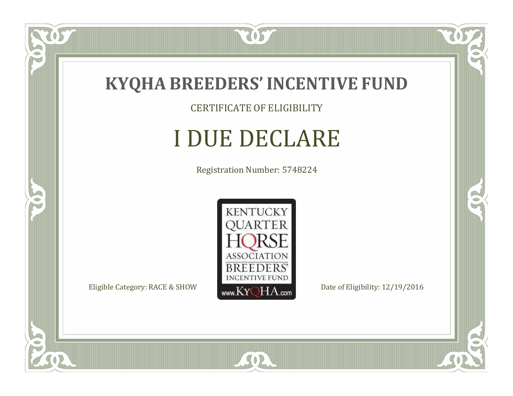

CERTIFICATE OF ELIGIBILITY

# I DUE DECLARE

Registration Number: 5748224



SOR

CO.

 $\rightarrow$ 

057

 $\bullet$ NU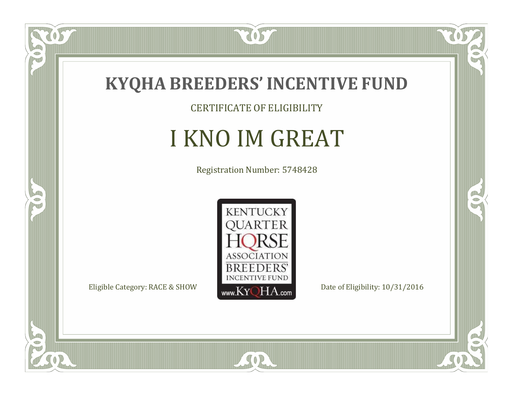

CERTIFICATE OF ELIGIBILITY

# I KNO IM GREAT

Registration Number: 5748428



SOR

CO.

 $\rightarrow$ 

US

 $\bullet$ NU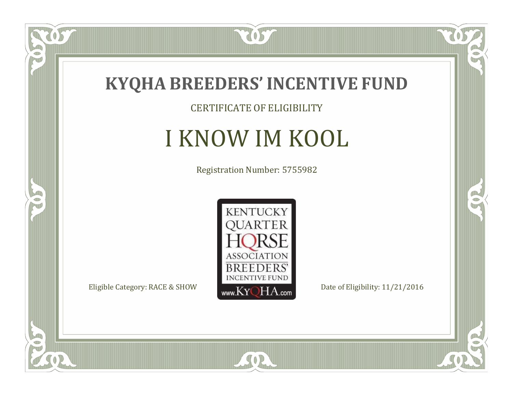

CERTIFICATE OF ELIGIBILITY

### I KNOW IM KOOL

Registration Number: 5755982



SOR

CO.

 $\rightarrow$ 

057

 $\bullet$ NU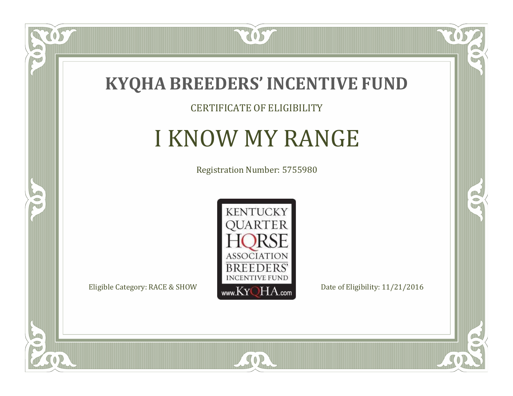

### CERTIFICATE OF ELIGIBILITY

### I KNOW MY RANGE

Registration Number: 5755980



 $SO2$ 

CO.

 $\rightarrow$ 

 $\widetilde{\text{OS}}$ 

 $\Box$ NU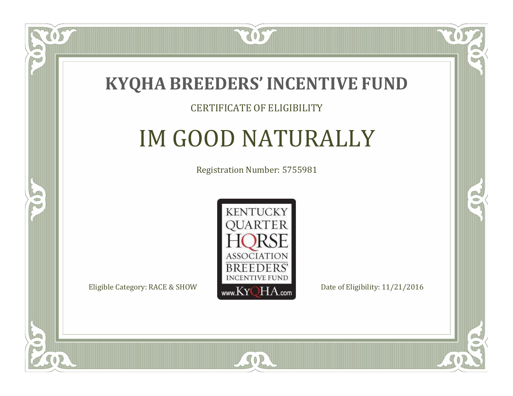

### CERTIFICATE OF ELIGIBILITY

# IM GOOD NATURALLY

Registration Number: 5755981



SOR

CO.

B

 $\blacksquare$ N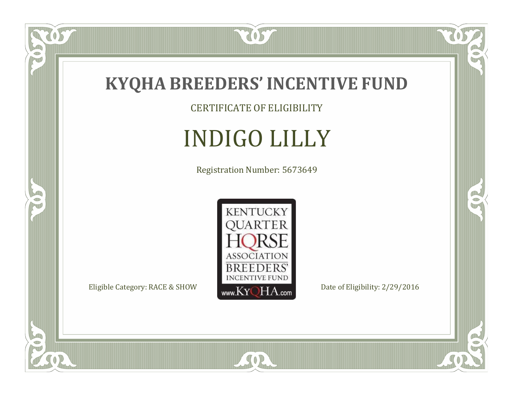

CERTIFICATE OF ELIGIBILITY

# INDIGO LILLY

Registration Number: 5673649



 $\mathbb{R}$ 

CO.

 $\overline{OS}$ 

 $\bullet$ N

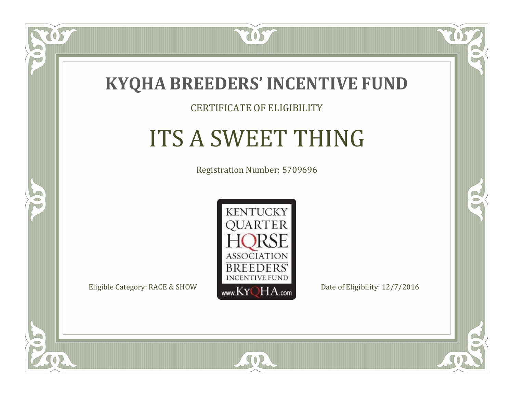

#### CERTIFICATE OF ELIGIBILITY

# ITS A SWEET THING

Registration Number: 5709696



SOR

CO.

B

 $\Box$ N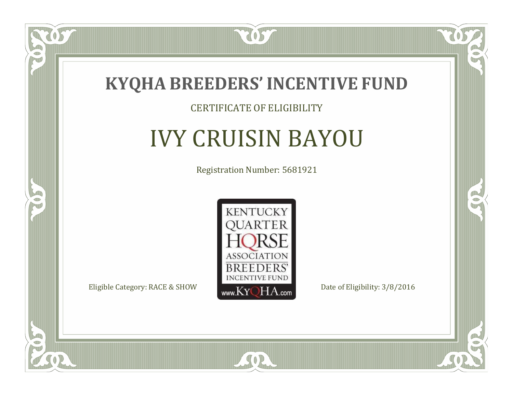

#### CERTIFICATE OF ELIGIBILITY

## IVY CRUISIN BAYOU

Registration Number: 5681921



SOR

CO.

 $\rightarrow$ 

057

 $\bullet$ NU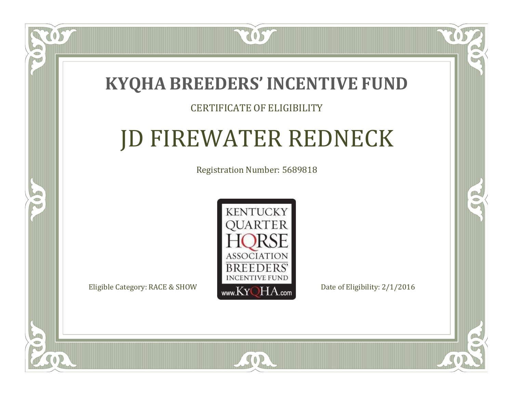### **KYQHA BREEDERS'INCENTIVE FUND**

7057

### CERTIFICATE OF ELIGIBILITY

# JD FIREWATER REDNECK

Registration Number: 5689818



SOR

 $\mathbb{R}^2$ 

CO.

 $\Box$ T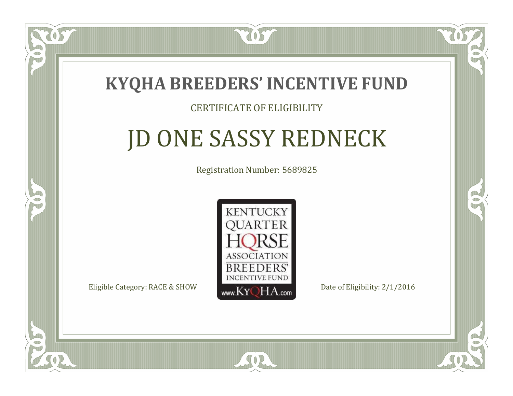

### CERTIFICATE OF ELIGIBILITY

# JD ONE SASSY REDNECK

Registration Number: 5689825



 $SO2$ 

 $\mathbb{R}^2$ 

P.

 $\Box$ N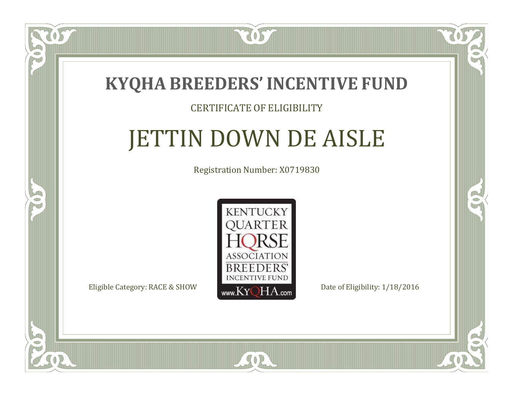

### CERTIFICATE OF ELIGIBILITY

# JETTIN DOWN DE AISLE

Registration Number: X0719830



 $SO2$ 

CO.

CO.

 $\Box$ N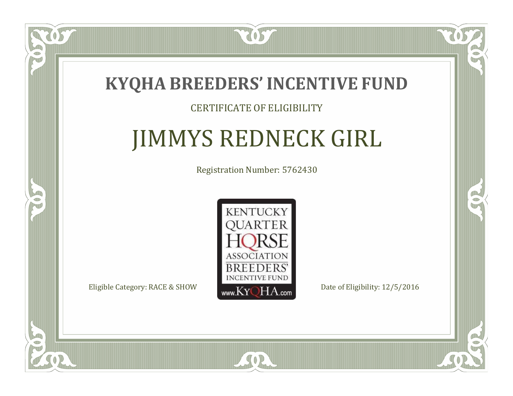

### CERTIFICATE OF ELIGIBILITY

# JIMMYS REDNECK GIRL

Registration Number: 5762430



SOR

 $\mathbb{R}^2$ 

CO.

 $\Box$ N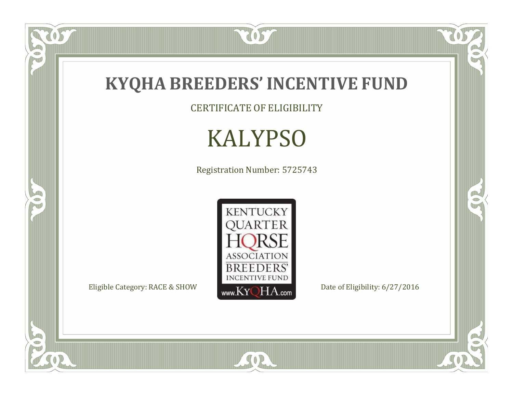

OST

P

5

CERTIFICATE OF ELIGIBILITY

# KALYPSO

Registration Number: 5725743



SOR

 $\mathbb{R}$ 

 $\mathbb{R}^2$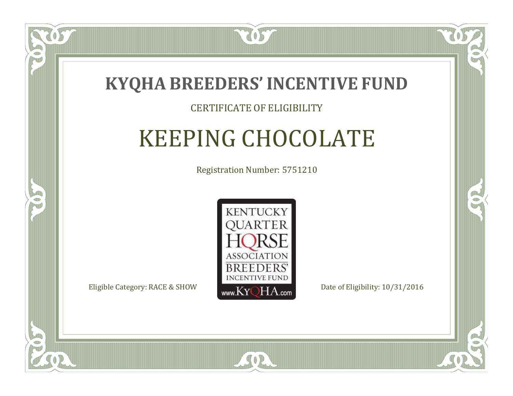

### CERTIFICATE OF ELIGIBILITY

# KEEPING CHOCOLATE

Registration Number: 5751210



SOR

RO

B

 $\Box$ N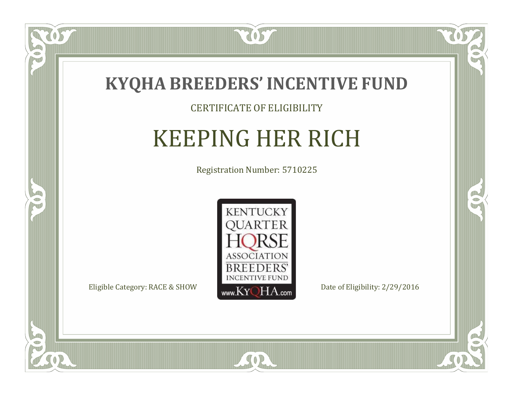

#### CERTIFICATE OF ELIGIBILITY

## KEEPING HER RICH

Registration Number: 5710225



SOR

CO.

 $\rightarrow$ 

 $\Box$ N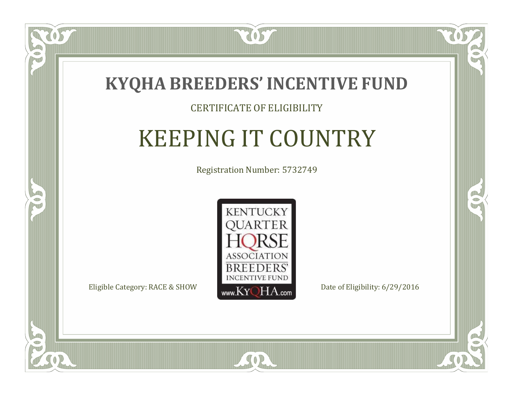

### CERTIFICATE OF ELIGIBILITY

# KEEPING IT COUNTRY

Registration Number: 5732749



SOR

CO.

B

 $\blacksquare$ N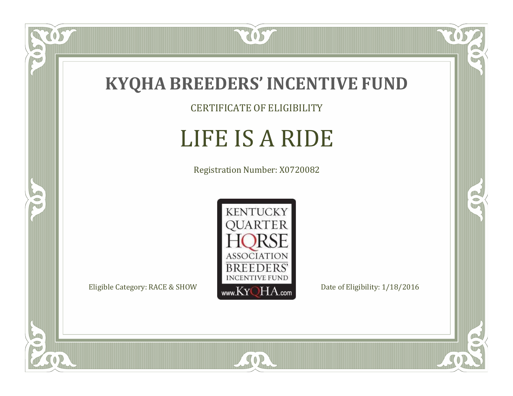

CERTIFICATE OF ELIGIBILITY

### LIFE IS A RIDE

Registration Number: X0720082



CO.

 $\rightarrow$ 

057

 $\bullet$ NU

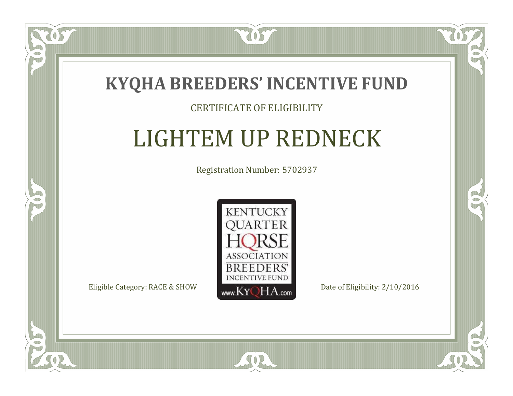

### CERTIFICATE OF ELIGIBILITY

# LIGHTEM UP REDNECK

Registration Number: 5702937



SOR

CO.

 $\rightarrow$ 

 $\blacksquare$ N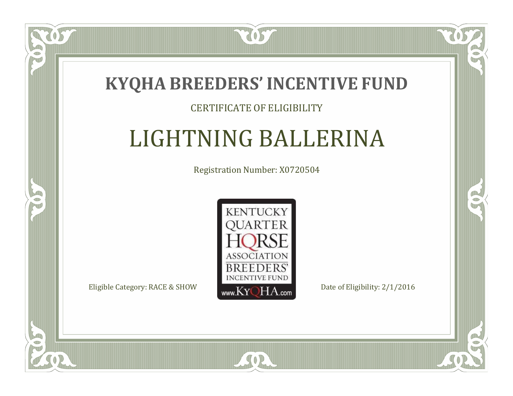

### CERTIFICATE OF ELIGIBILITY

## LIGHTNING BALLERINA

Registration Number: X0720504



SOR

RO

B

 $\blacksquare$ N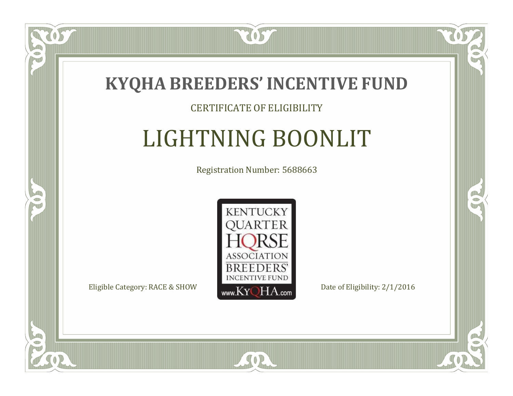

### CERTIFICATE OF ELIGIBILITY

# LIGHTNING BOONLIT

Registration Number: 5688663



SOR

RO

B

 $\blacksquare$ N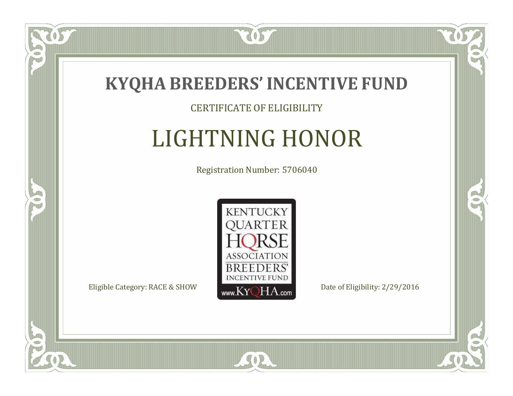

### CERTIFICATE OF ELIGIBILITY

# LIGHTNING HONOR

Registration Number: 5706040



SOR

CO.

B

 $\Box$ N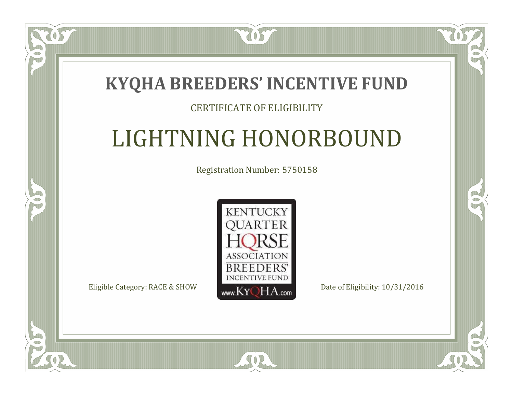### **KYQHA BREEDERS'INCENTIVE FUND**

7057

### CERTIFICATE OF ELIGIBILITY

# LIGHTNING HONORBOUND

Registration Number: 5750158



CO.

 $\rightarrow$ 

 $\Box$ N

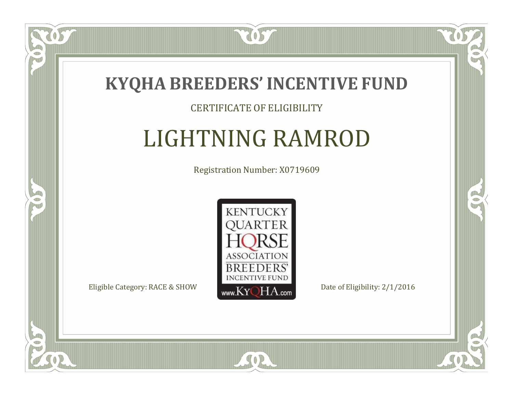

### CERTIFICATE OF ELIGIBILITY

# LIGHTNING RAMROD

Registration Number: X0719609



SOR

CO.

 $\rightarrow$ 

US

 $\blacksquare$ N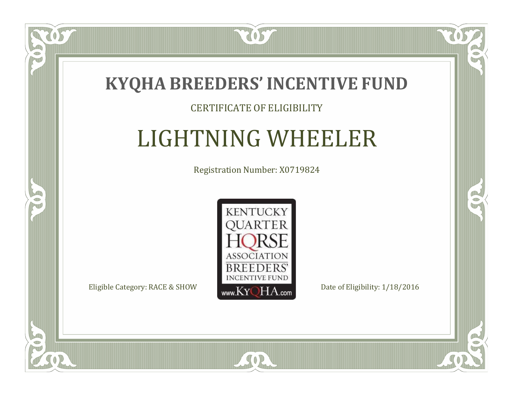

### CERTIFICATE OF ELIGIBILITY

## LIGHTNING WHEELER

Registration Number: X0719824



 $SO2$ 

CO.

 $\rightarrow$ 

 $\Box$ N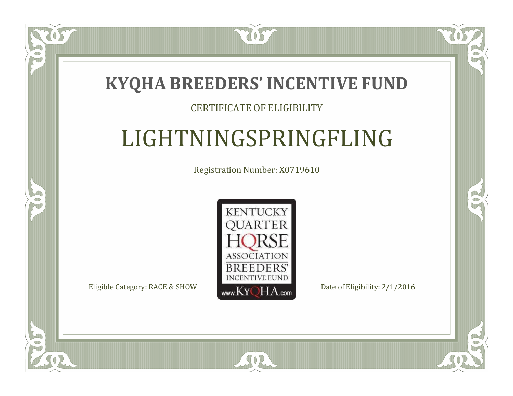

### CERTIFICATE OF ELIGIBILITY

# LIGHTNINGSPRINGFLING

Registration Number: X0719610



SOR

RO

 $\rightarrow$ 

 $\Box$ T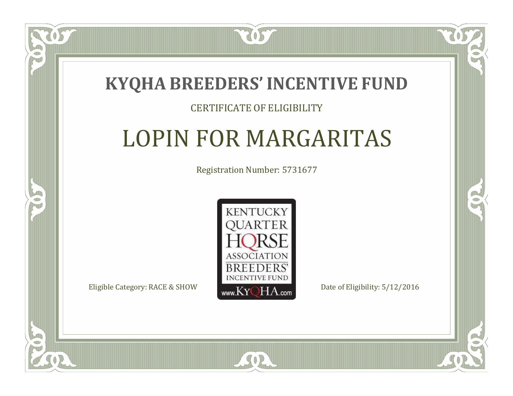

### CERTIFICATE OF ELIGIBILITY

## LOPIN FOR MARGARITAS

Registration Number: 5731677



SOR

CO.

 $\rightarrow$ 

 $\Box$ N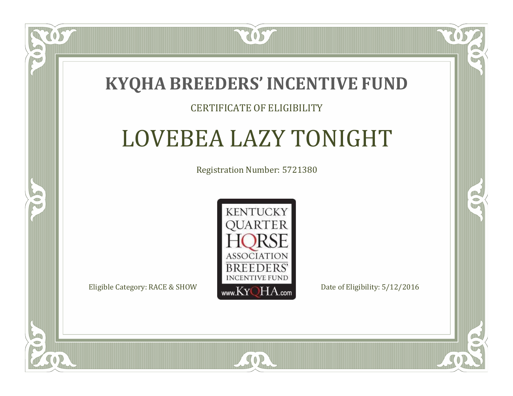

#### CERTIFICATE OF ELIGIBILITY

## LOVEBEA LAZY TONIGHT

Registration Number: 5721380



SOR

RO

B

 $\Box$ T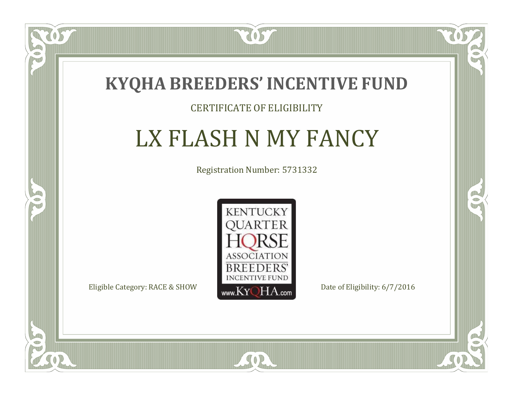

### CERTIFICATE OF ELIGIBILITY

## LX FLASH N MY FANCY

Registration Number: 5731332



SOR

 $\delta S$ 

 $\Box$ N

5

CO.

 $\rightarrow$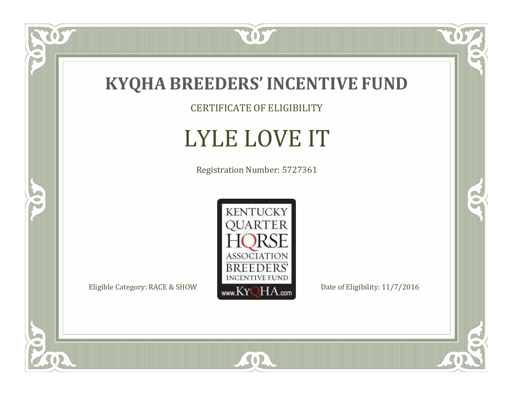

CERTIFICATE OF ELIGIBILITY

# LYLE LOVE IT

Registration Number: 5727361



SOR

 $\mathbb{R}$ 

CO.

tos

 $\bullet$ N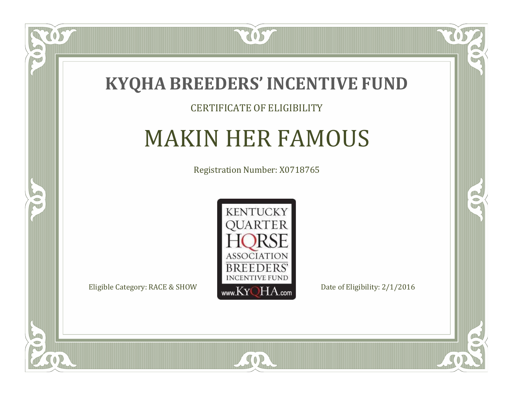

#### CERTIFICATE OF ELIGIBILITY

### MAKIN HER FAMOUS

Registration Number: X0718765



SOR

CO.

 $\rightarrow$ 

OS

 $\Box$ NU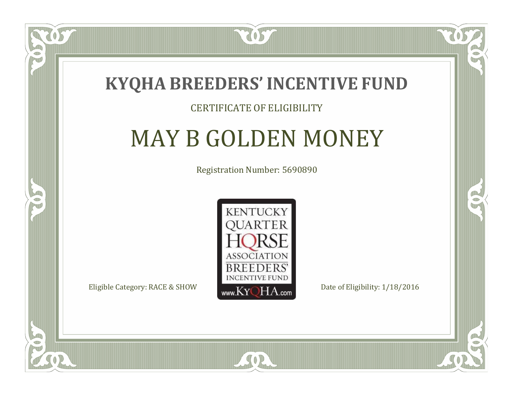

#### CERTIFICATE OF ELIGIBILITY

### MAY B GOLDEN MONEY

Registration Number: 5690890



SOR

CO.

B

 $\blacksquare$ N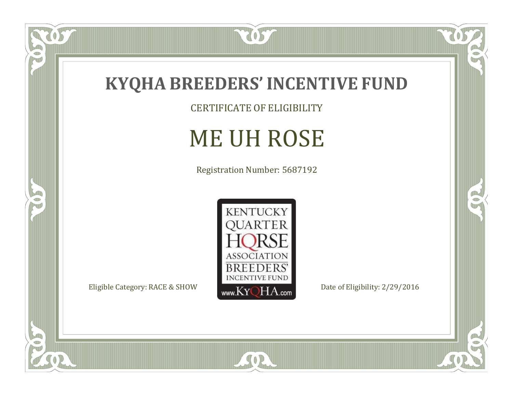

CERTIFICATE OF ELIGIBILITY

# ME UH ROSE

Registration Number: 5687192



 $\mathbb{R}$ 

 $\mathbb{R}^2$ 

 $\overline{OS}$ 

P

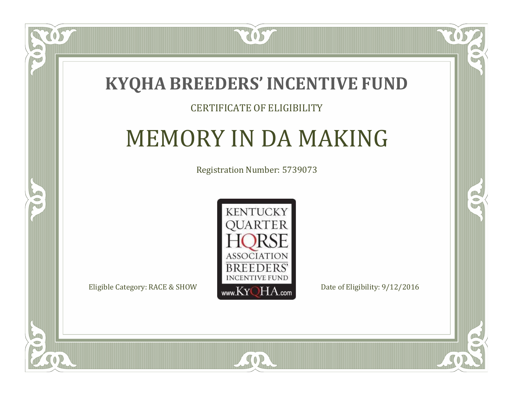

### CERTIFICATE OF ELIGIBILITY

### MEMORY IN DA MAKING

Registration Number: 5739073



CO.

 $\rightarrow$ 

 $\blacksquare$ N

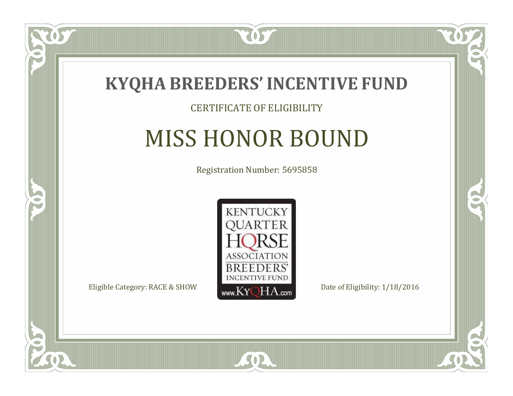

### CERTIFICATE OF ELIGIBILITY

# MISS HONOR BOUND

Registration Number: 5695858



SOR

CO.

B

 $\Box$ N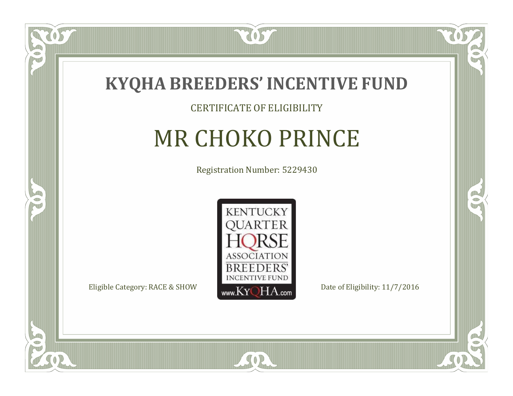

#### CERTIFICATE OF ELIGIBILITY

## MR CHOKO PRINCE

Registration Number: 5229430



SOR

CO.

B

 $\Box$ NU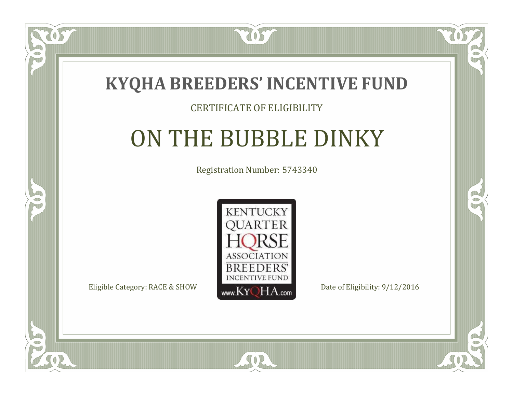

#### CERTIFICATE OF ELIGIBILITY

## ON THE BUBBLE DINKY

Registration Number: 5743340



SOR

CO.

 $\rightarrow$ 

 $\Box$ N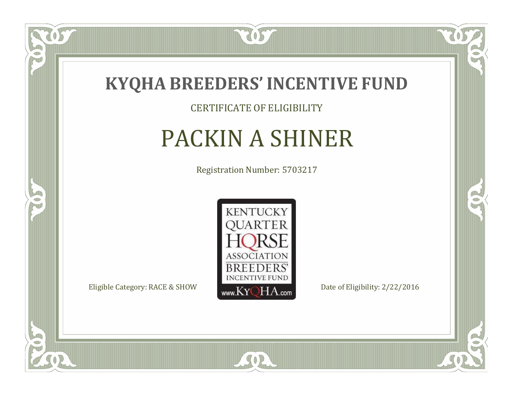

CERTIFICATE OF ELIGIBILITY

# PACKIN A SHINER

Registration Number: 5703217



SOR

CO.

 $\rightarrow$ 

 $\delta S$ 

 $\bullet$ NU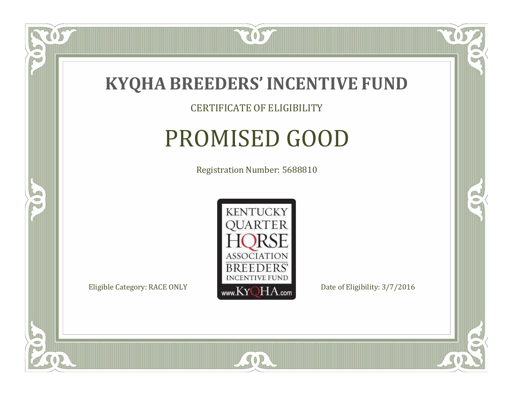

### CERTIFICATE OF ELIGIBILITY

# PROMISED GOOD

Registration Number: 5688810



SOR

CO.

B

US

 $\bullet$ NU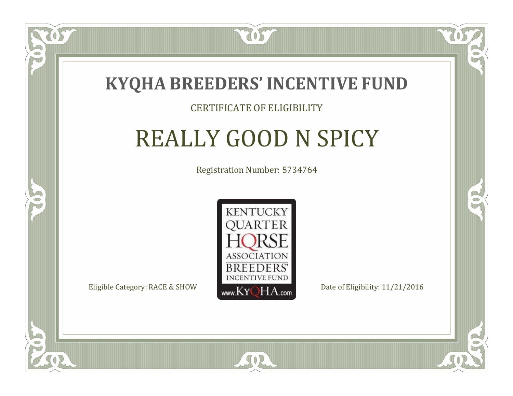

### CERTIFICATE OF ELIGIBILITY

# REALLY GOOD N SPICY

Registration Number: 5734764



SOR

RO

P.

 $\Box$ T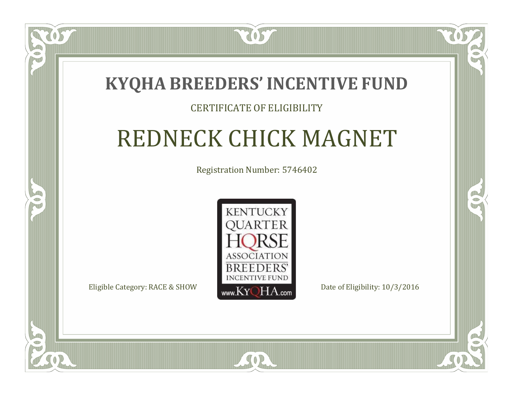### **KYQHA BREEDERS'INCENTIVE FUND**

2057

### CERTIFICATE OF ELIGIBILITY

# REDNECK CHICK MAGNET

Registration Number: 5746402



SOR

RO

 $\rightarrow$ 

 $\Box$ T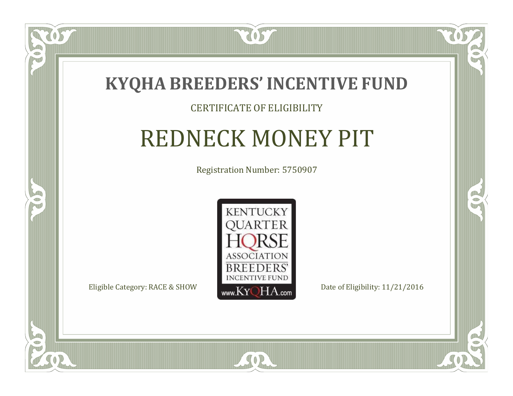

### CERTIFICATE OF ELIGIBILITY

# REDNECK MONEY PIT

Registration Number: 5750907



SOR

CO.

 $\rightarrow$ 

 $\blacksquare$ N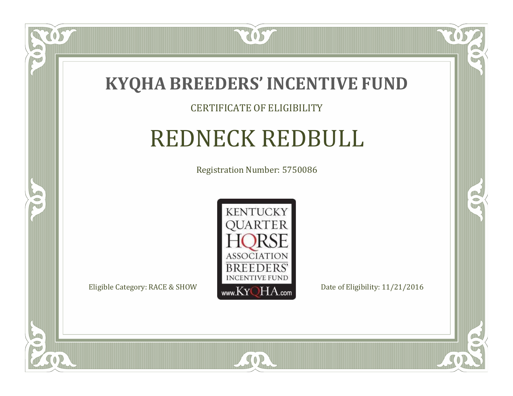

#### CERTIFICATE OF ELIGIBILITY

### REDNECK REDBULL

Registration Number: 5750086



SOR

CO.

 $\rightarrow$ 

OS

 $\Box$ NU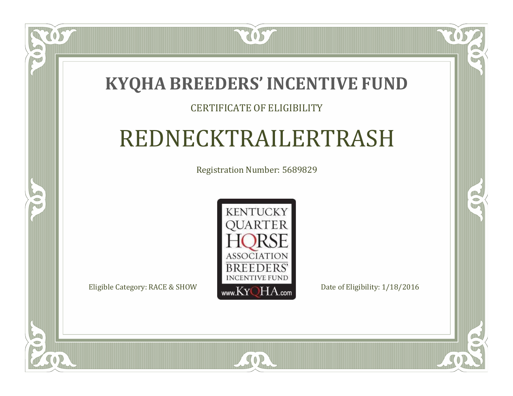### **KYQHA BREEDERS'INCENTIVE FUND**

2057

### CERTIFICATE OF ELIGIBILITY

# REDNECKTRAILERTRASH

Registration Number: 5689829



 $SO2$ 

CO.

 $\rightarrow$ 

 $\Box$ N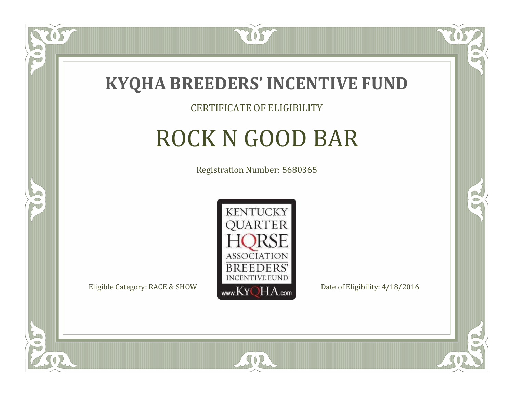

#### CERTIFICATE OF ELIGIBILITY

# ROCK N GOOD BAR

Registration Number: 5680365



SOR

RO

CO.

 $\Box$ NU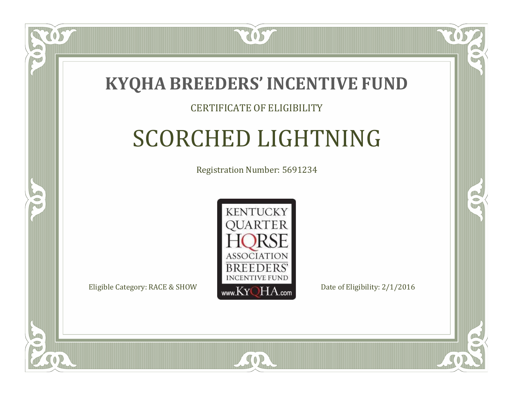

### CERTIFICATE OF ELIGIBILITY

# SCORCHED LIGHTNING

Registration Number: 5691234



SOR

RO

B

 $\Box$ N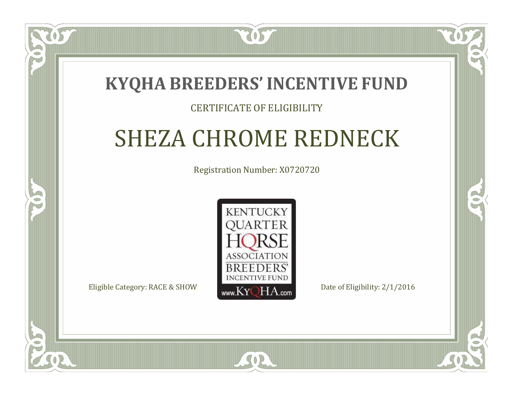### **KYQHA BREEDERS'INCENTIVE FUND**

2057

### CERTIFICATE OF ELIGIBILITY

# SHEZA CHROME REDNECK

Registration Number: X0720720



SOR

RO

CO.

 $\Box$ T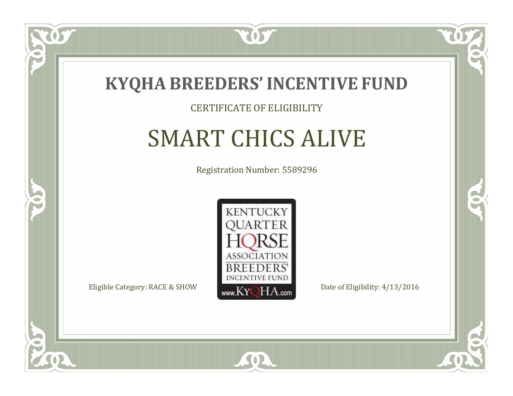

#### CERTIFICATE OF ELIGIBILITY

# SMART CHICS ALIVE

Registration Number: 5589296



SOR

CO.

B

 $\Box$ N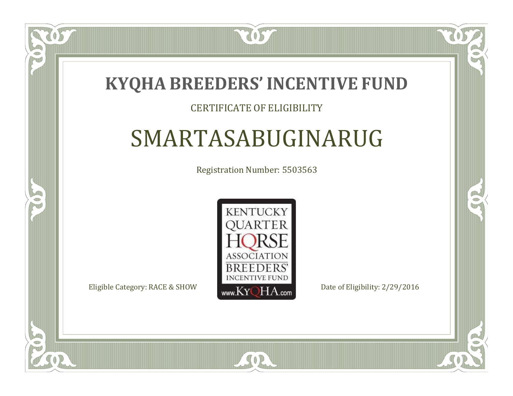### **KYQHA BREEDERS'INCENTIVE FUND**

2057

### CERTIFICATE OF ELIGIBILITY

# SMARTASABUGINARUG

Registration Number: 5503563



SOR

RO

B

 $\Box$ T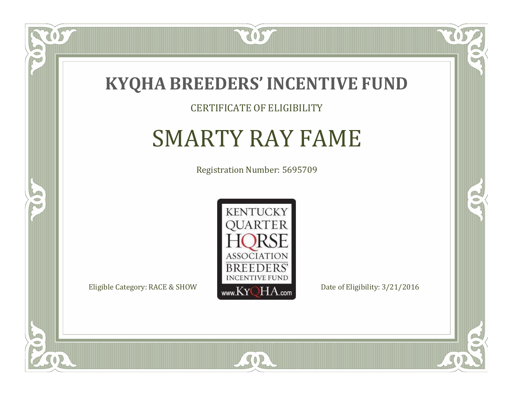

#### CERTIFICATE OF ELIGIBILITY

## SMARTY RAY FAME

Registration Number: 5695709



SOR

CO.

 $\rightarrow$ 

 $\widetilde{\text{OS}}$ 

 $\bullet$ T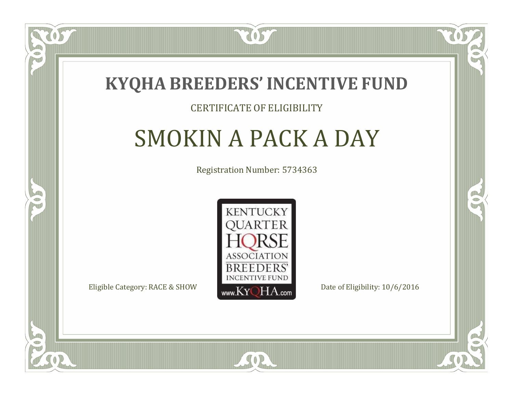

### CERTIFICATE OF ELIGIBILITY

# SMOKIN A PACK A DAY

Registration Number: 5734363



SOR

RO

CO.

 $\blacksquare$ N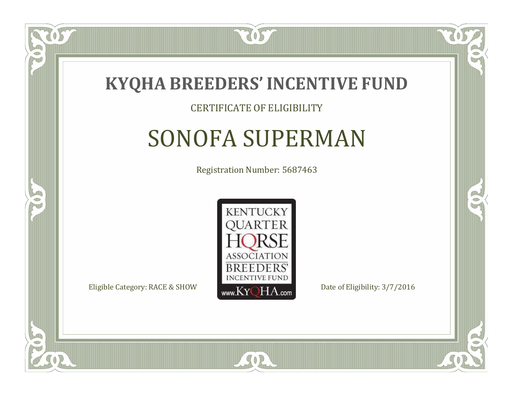

#### CERTIFICATE OF ELIGIBILITY

## SONOFA SUPERMAN

Registration Number: 5687463



SOR

CO.

B

 $\Box$ N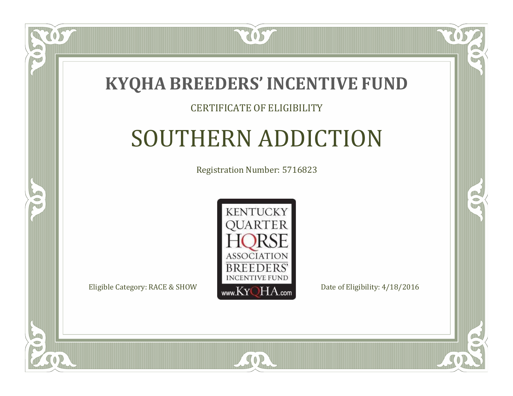

### CERTIFICATE OF ELIGIBILITY

# SOUTHERN ADDICTION

Registration Number: 5716823



SOR

CO.

B

 $\blacksquare$ N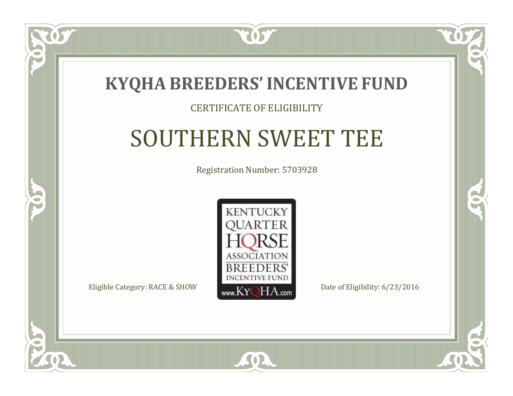

### CERTIFICATE OF ELIGIBILITY

# SOUTHERN SWEET TEE

Registration Number: 5703928



SOR

CO.

B

 $\blacksquare$ N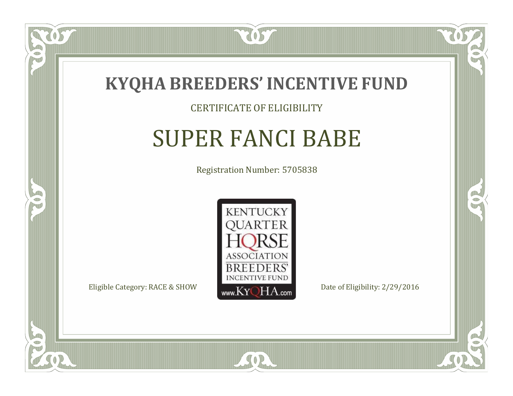

 $\Box$ N

5

#### CERTIFICATE OF ELIGIBILITY

### SUPER FANCI BABE

Registration Number: 5705838



SOR

RO

B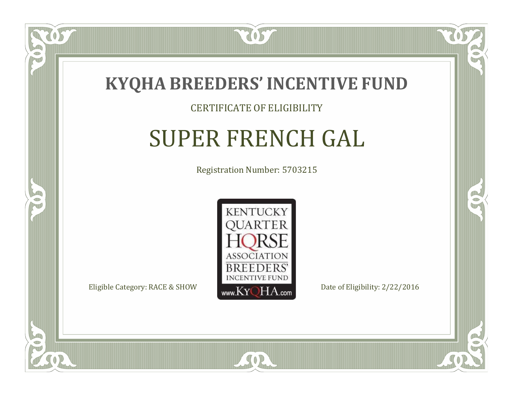

#### CERTIFICATE OF ELIGIBILITY

## SUPER FRENCH GAL

Registration Number: 5703215



SOR

RO

B

 $\Box$ N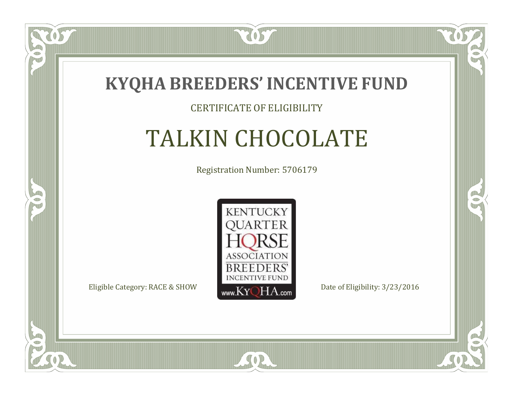

### CERTIFICATE OF ELIGIBILITY

# TALKIN CHOCOLATE

Registration Number: 5706179



SOR

RO

B

 $\Box$ N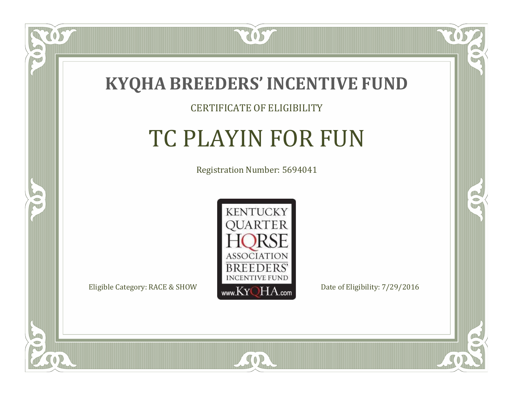

#### CERTIFICATE OF ELIGIBILITY

## TC PLAYIN FOR FUN

Registration Number: 5694041



SOR

CO.

B

 $\Box$ N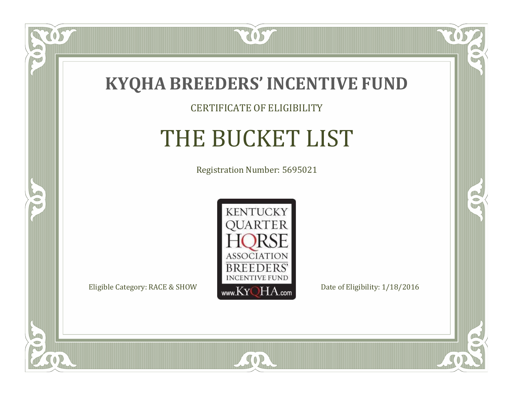

### CERTIFICATE OF ELIGIBILITY

# THE BUCKET LIST

Registration Number: 5695021



SOR

CO.

 $\rightarrow$ 

 $\delta S$ 

 $\bullet$ NU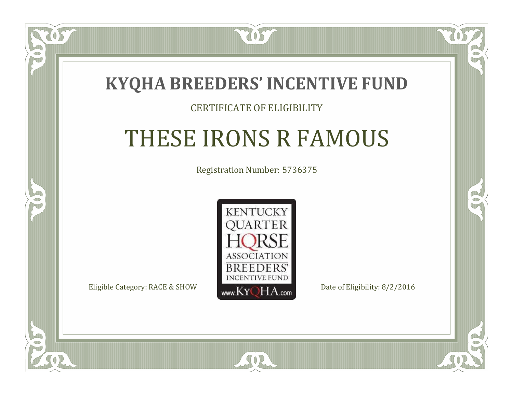

### CERTIFICATE OF ELIGIBILITY

## THESE IRONS R FAMOUS

Registration Number: 5736375



SOR

RO

CO.

 $\Box$ N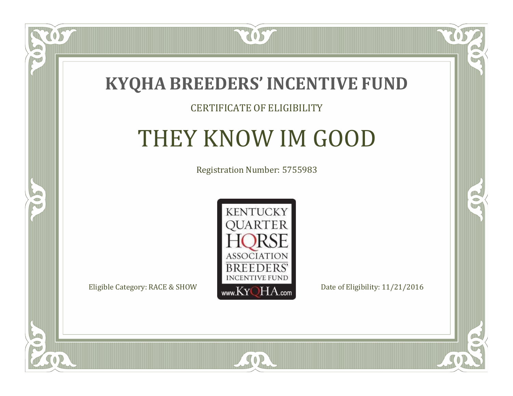

### CERTIFICATE OF ELIGIBILITY

## THEY KNOW IM GOOD

Registration Number: 5755983



SOR

CO.

 $\rightarrow$ 

 $\Box$ N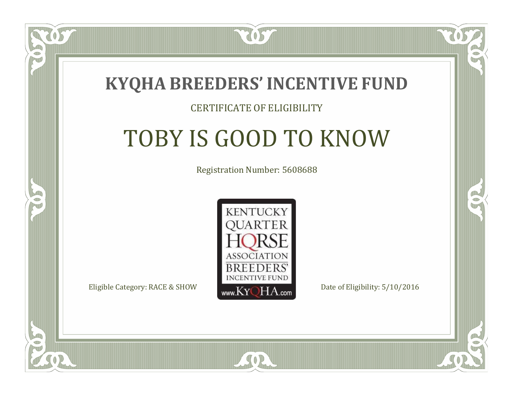

#### CERTIFICATE OF ELIGIBILITY

# TOBY IS GOOD TO KNOW

Registration Number: 5608688



RO

P.



 $\Box$ T

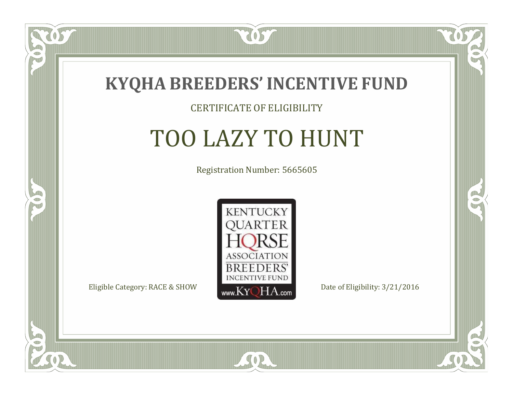

#### CERTIFICATE OF ELIGIBILITY

## TOO LAZY TO HUNT

Registration Number: 5665605



SOR

RO

B

 $\Box$ N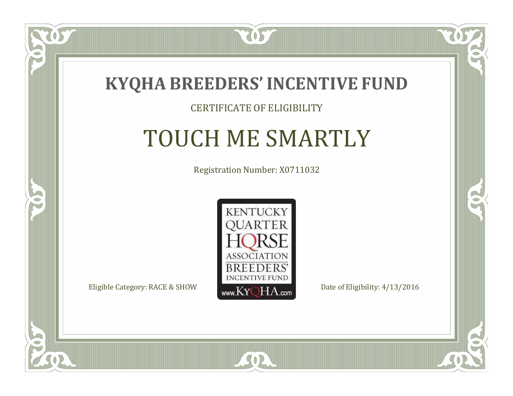

 $\Box$ N

5

#### CERTIFICATE OF ELIGIBILITY

## TOUCH ME SMARTLY

Registration Number: X0711032



CO.

 $\rightarrow$ 

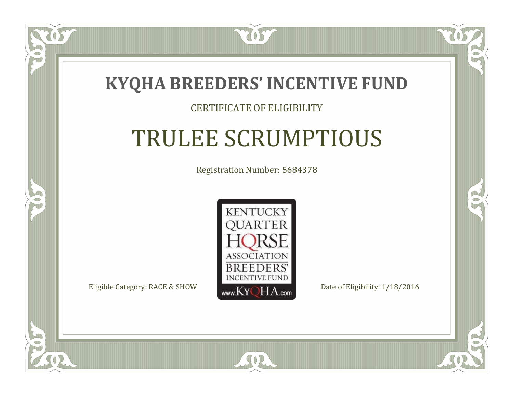

#### CERTIFICATE OF ELIGIBILITY

# TRULEE SCRUMPTIOUS

Registration Number: 5684378



 $SO<sub>2</sub>$ 

RO

B

 $\Box$ N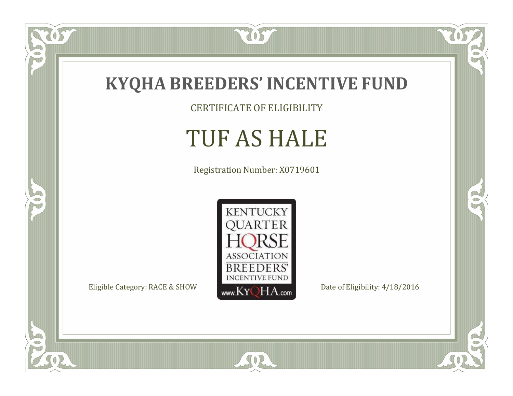

 $\overline{OS}$ 

 $\bullet$ N

5

CERTIFICATE OF ELIGIBILITY

## TUF AS HALE

Registration Number: X0719601



SOR

 $\mathbb{R}$ 

 $\mathbb{R}^2$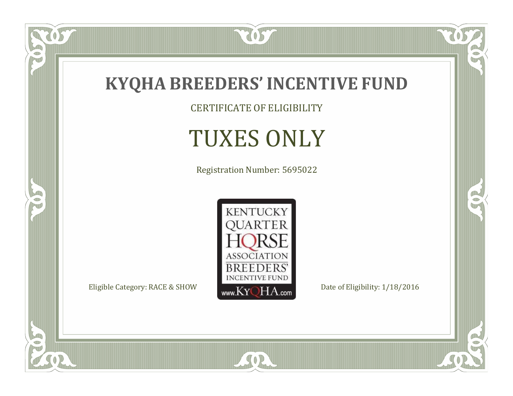

CERTIFICATE OF ELIGIBILITY

# TUXES ONLY

Registration Number: 5695022



SOR

 $\mathbb{R}$ 

 $\mathbb{R}^2$ 

US

 $\bullet$ N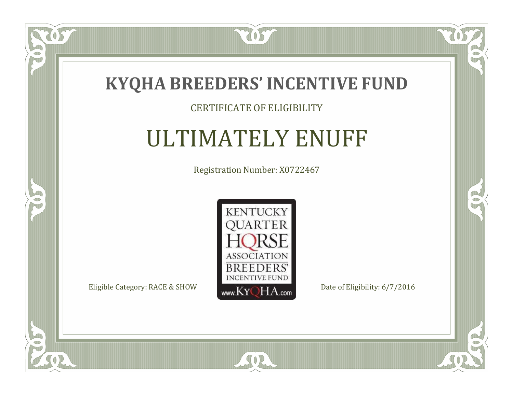

#### CERTIFICATE OF ELIGIBILITY

### ULTIMATELY ENUFF

Registration Number: X0722467



SOR

CO.

 $\rightarrow$ 

057

 $\bullet$ NU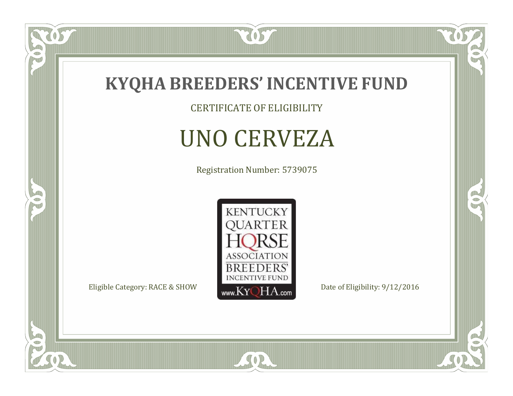

CERTIFICATE OF ELIGIBILITY

# UNO CERVEZA

Registration Number: 5739075



SOR

 $\mathbb{R}$ 

 $\rightarrow$ 

tos

 $\bullet$ N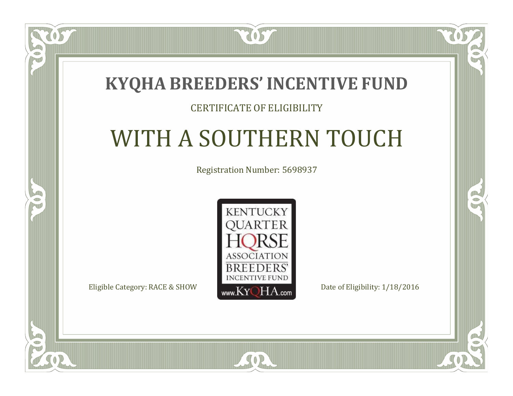### **KYQHA BREEDERS'INCENTIVE FUND**

7057

### CERTIFICATE OF ELIGIBILITY

# WITH A SOUTHERN TOUCH

Registration Number: 5698937



 $\mathbb{R}$ 

 $\rightarrow$ 

 $\blacksquare$ N

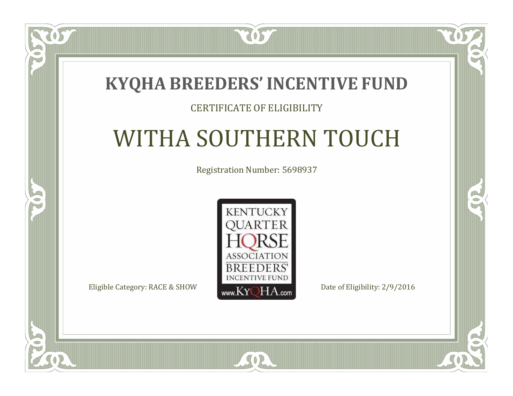### **KYQHA BREEDERS'INCENTIVE FUND**

7057

### CERTIFICATE OF ELIGIBILITY

# WITHA SOUTHERN TOUCH

Registration Number: 5698937



SOR

 $\mathbb{R}$ 

 $\rightarrow$ 

 $\blacksquare$ N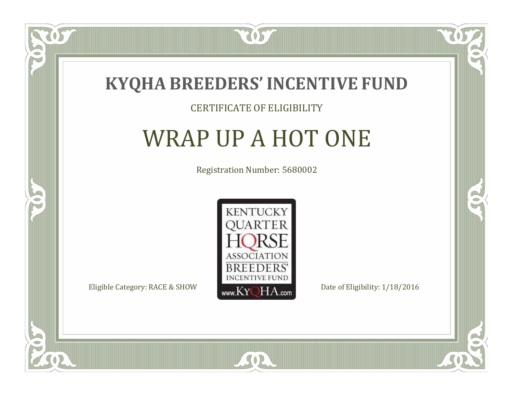

#### CERTIFICATE OF ELIGIBILITY

### WRAP UP A HOT ONE

Registration Number: 5680002



CO.

B

 $\Box$ NU

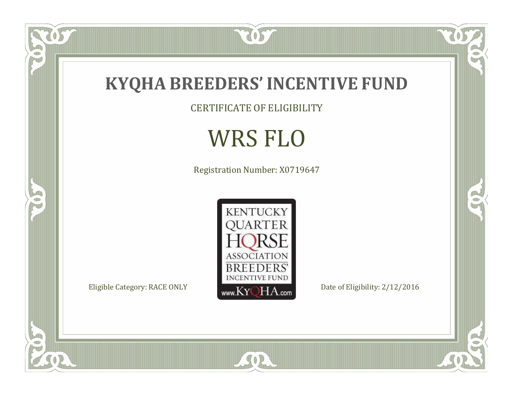

CERTIFICATE OF ELIGIBILITY

## WRS FLO

Registration Number: X0719647



SOR

RO

 $\mathbb{R}^2$ 

OST

FO

5

 $\overline{\mathbb{C}}$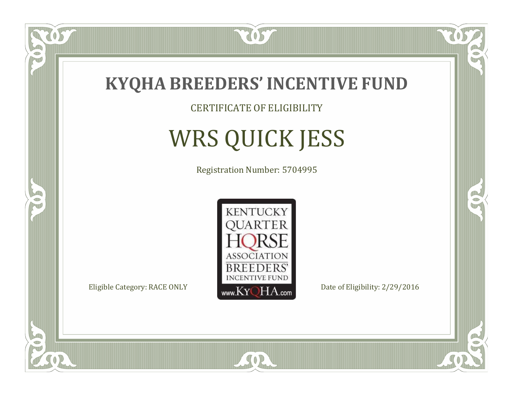

CERTIFICATE OF ELIGIBILITY

# WRS QUICK JESS

Registration Number: 5704995



 $SO<sub>2</sub>$ 

 $\mathbb{R}$ 

B

 $\delta S$ 

 $\Box$ NU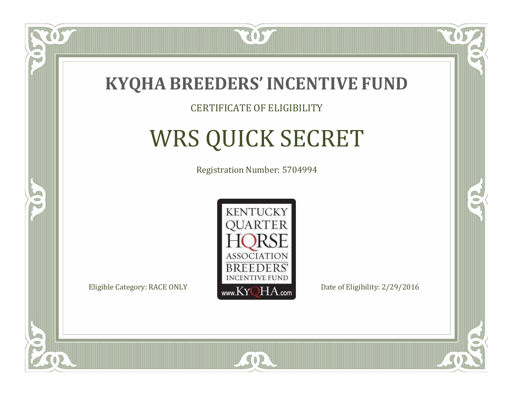

#### CERTIFICATE OF ELIGIBILITY

## WRS QUICK SECRET

Registration Number: 5704994



SOR

 $\mathbb{R}$ 

B

 $\delta S$ 

 $\Box$ NU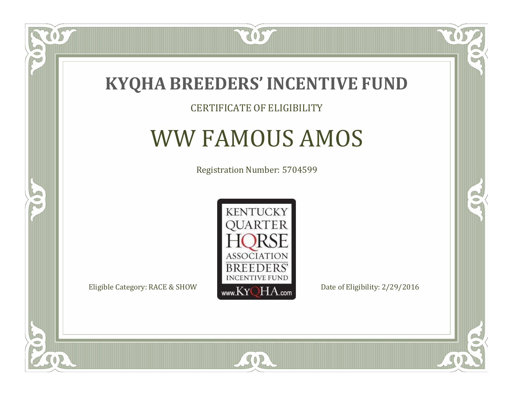

### CERTIFICATE OF ELIGIBILITY

### WW FAMOUS AMOS

Registration Number: 5704599



 $\mathbb{R}$ 

B

057

 $\Box$ NU